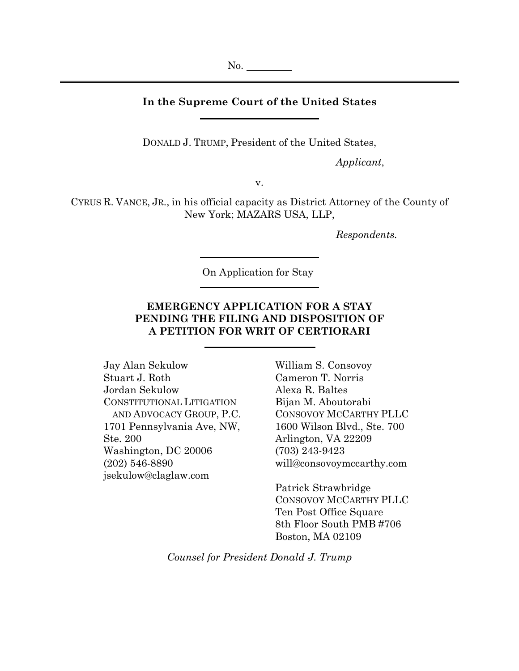## **In the Supreme Court of the United States**

DONALD J. TRUMP, President of the United States,

*Applicant*,

v.

CYRUS R. VANCE, JR., in his official capacity as District Attorney of the County of New York; MAZARS USA, LLP,

*Respondents.*

On Application for Stay

# **EMERGENCY APPLICATION FOR A STAY PENDING THE FILING AND DISPOSITION OF A PETITION FOR WRIT OF CERTIORARI**

Jay Alan Sekulow Stuart J. Roth Jordan Sekulow CONSTITUTIONAL LITIGATION AND ADVOCACY GROUP, P.C. 1701 Pennsylvania Ave, NW, Ste. 200 Washington, DC 20006 (202) 546-8890 jsekulow@claglaw.com

William S. Consovoy Cameron T. Norris Alexa R. Baltes Bijan M. Aboutorabi CONSOVOY MCCARTHY PLLC 1600 Wilson Blvd., Ste. 700 Arlington, VA 22209 (703) 243-9423 will@consovoymccarthy.com

Patrick Strawbridge CONSOVOY MCCARTHY PLLC Ten Post Office Square 8th Floor South PMB #706 Boston, MA 02109

*Counsel for President Donald J. Trump*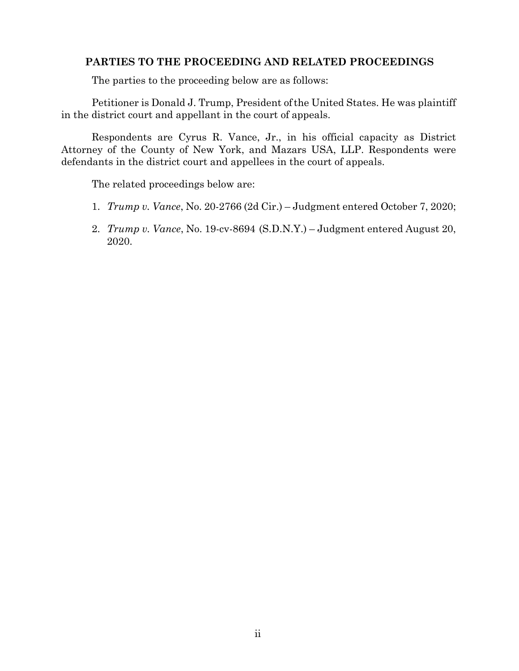## **PARTIES TO THE PROCEEDING AND RELATED PROCEEDINGS**

The parties to the proceeding below are as follows:

Petitioner is Donald J. Trump, President ofthe United States. He was plaintiff in the district court and appellant in the court of appeals.

Respondents are Cyrus R. Vance, Jr., in his official capacity as District Attorney of the County of New York, and Mazars USA, LLP. Respondents were defendants in the district court and appellees in the court of appeals.

The related proceedings below are:

- 1. *Trump v. Vance*, No. 20-2766 (2d Cir.) Judgment entered October 7, 2020;
- 2. *Trump v. Vance*, No. 19-cv-8694 (S.D.N.Y.) Judgment entered August 20, 2020.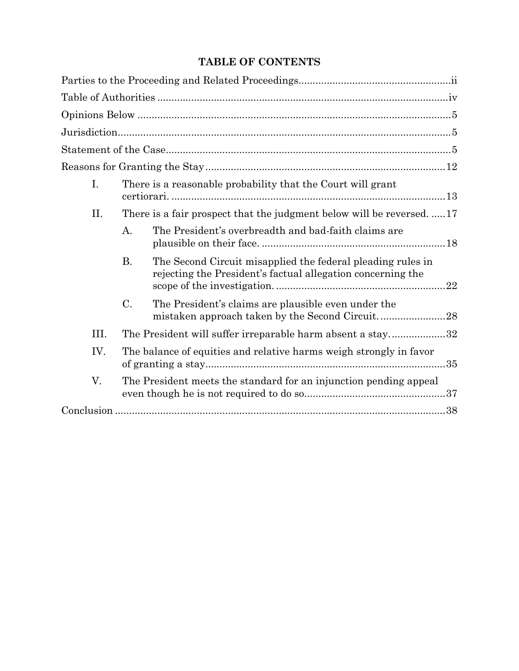# **TABLE OF CONTENTS**

| I.   | There is a reasonable probability that the Court will grant        |                                                                                                                            |  |
|------|--------------------------------------------------------------------|----------------------------------------------------------------------------------------------------------------------------|--|
| II.  |                                                                    | There is a fair prospect that the judgment below will be reversed.  17                                                     |  |
|      | А.                                                                 | The President's overbreadth and bad-faith claims are                                                                       |  |
|      | <b>B.</b>                                                          | The Second Circuit misapplied the federal pleading rules in<br>rejecting the President's factual allegation concerning the |  |
|      | $\mathcal{C}.$                                                     | The President's claims are plausible even under the                                                                        |  |
| III. |                                                                    | The President will suffer irreparable harm absent a stay32                                                                 |  |
| IV.  | The balance of equities and relative harms weigh strongly in favor |                                                                                                                            |  |
| V.   |                                                                    | The President meets the standard for an injunction pending appeal                                                          |  |
|      |                                                                    |                                                                                                                            |  |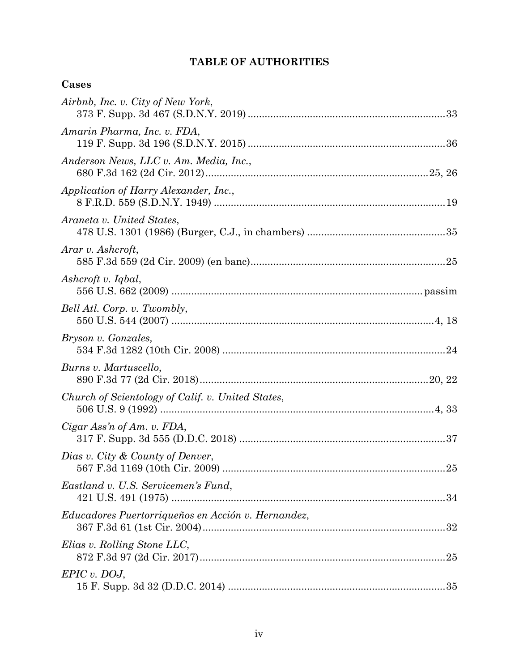# **TABLE OF AUTHORITIES**

# **Cases**

| Airbnb, Inc. v. City of New York,                  |
|----------------------------------------------------|
| Amarin Pharma, Inc. v. FDA,                        |
| Anderson News, LLC v. Am. Media, Inc.,             |
| Application of Harry Alexander, Inc.,              |
| Araneta v. United States,                          |
| Arar v. Ashcroft,                                  |
| Ashcroft v. Iqbal,                                 |
| Bell Atl. Corp. v. Twombly,                        |
| Bryson v. Gonzales,                                |
| Burns v. Martuscello,                              |
| Church of Scientology of Calif. v. United States,  |
| Cigar Ass'n of Am. v. FDA,                         |
| Dias v. City & County of Denver,                   |
| Eastland v. U.S. Servicemen's Fund,                |
| Educadores Puertorriqueños en Acción v. Hernandez, |
| Elias v. Rolling Stone LLC,                        |
| $EPIC$ v. DOJ,                                     |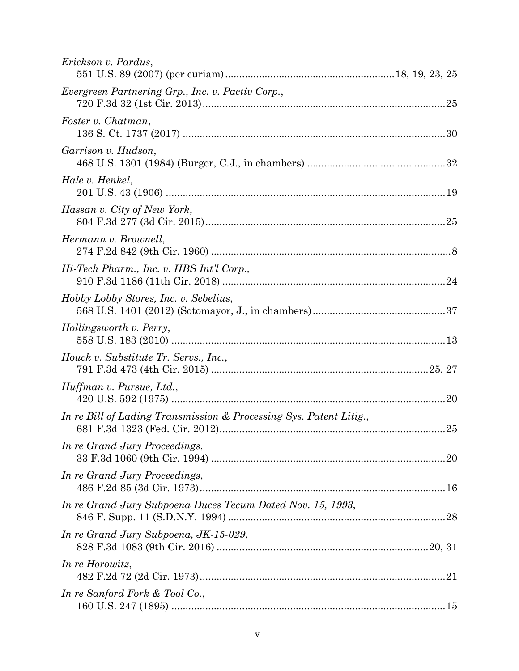| Erickson v. Pardus,                                                |     |
|--------------------------------------------------------------------|-----|
| Evergreen Partnering Grp., Inc. v. Pactiv Corp.,                   |     |
| Foster v. Chatman,                                                 |     |
| Garrison v. Hudson,                                                |     |
| Hale v. Henkel,                                                    |     |
| Hassan v. City of New York,                                        |     |
| Hermann v. Brownell,                                               |     |
| Hi-Tech Pharm., Inc. v. HBS Int'l Corp.,                           |     |
| Hobby Lobby Stores, Inc. v. Sebelius,                              |     |
| Hollingsworth v. Perry,                                            |     |
| Houck v. Substitute Tr. Servs., Inc.,                              |     |
| Huffman v. Pursue, Ltd.,                                           | .20 |
| In re Bill of Lading Transmission & Processing Sys. Patent Litig., |     |
| In re Grand Jury Proceedings,                                      |     |
| In re Grand Jury Proceedings,                                      |     |
| In re Grand Jury Subpoena Duces Tecum Dated Nov. 15, 1993,         |     |
| In re Grand Jury Subpoena, JK-15-029,                              |     |
| In re Horowitz,                                                    |     |
| In re Sanford Fork & Tool Co.,                                     |     |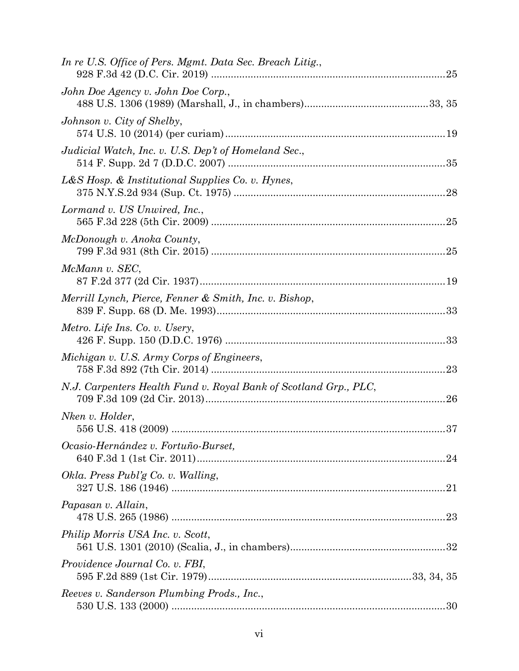| In re U.S. Office of Pers. Mgmt. Data Sec. Breach Litig.,              |
|------------------------------------------------------------------------|
| John Doe Agency v. John Doe Corp.,                                     |
| Johnson v. City of Shelby,                                             |
| Judicial Watch, Inc. v. U.S. Dep't of Homeland Sec.,                   |
| L&S Hosp. & Institutional Supplies Co. v. Hynes,                       |
| Lormand v. US Unwired, Inc.,                                           |
| McDonough v. Anoka County,                                             |
| McMann v. SEC,                                                         |
| Merrill Lynch, Pierce, Fenner & Smith, Inc. v. Bishop,                 |
| Metro. Life Ins. Co. v. Usery,                                         |
| Michigan v. U.S. Army Corps of Engineers,<br>23                        |
| N.J. Carpenters Health Fund v. Royal Bank of Scotland Grp., PLC,<br>26 |
| Nken v. Holder,                                                        |
| Ocasio-Hernández v. Fortuño-Burset,                                    |
| Okla. Press Publ'g Co. v. Walling,                                     |
| Papasan v. Allain,                                                     |
| Philip Morris USA Inc. v. Scott,                                       |
| Providence Journal Co. v. FBI,                                         |
| Reeves v. Sanderson Plumbing Prods., Inc.,                             |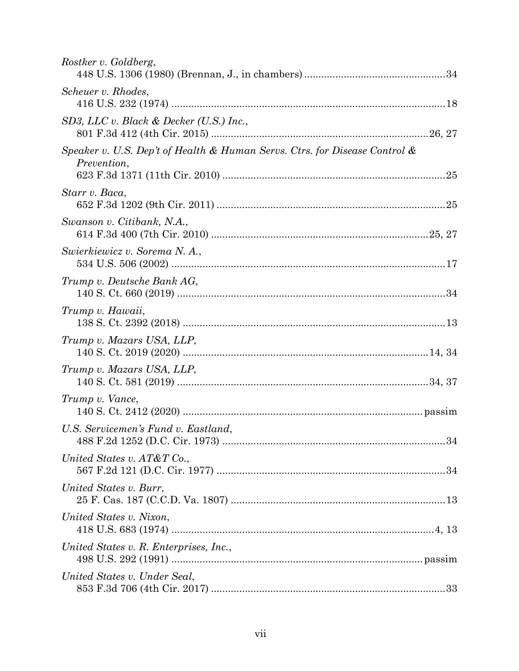| Rostker v. Goldberg,                                                                      |  |
|-------------------------------------------------------------------------------------------|--|
| Scheuer v. Rhodes,                                                                        |  |
| SD3, LLC v. Black & Decker (U.S.) Inc.,                                                   |  |
| Speaker v. U.S. Dep't of Health & Human Servs. Ctrs. for Disease Control &<br>Prevention, |  |
| Starr v. Baca,                                                                            |  |
| Swanson v. Citibank, N.A.,                                                                |  |
| Swierkiewicz v. Sorema N. A.,                                                             |  |
| Trump v. Deutsche Bank AG,                                                                |  |
| Trump v. Hawaii,                                                                          |  |
| Trump v. Mazars USA, LLP,                                                                 |  |
| Trump v. Mazars USA, LLP,                                                                 |  |
| Trump v. Vance,                                                                           |  |
| U.S. Servicemen's Fund v. Eastland,                                                       |  |
| United States v. AT&T Co.,                                                                |  |
| United States v. Burr,                                                                    |  |
| United States v. Nixon,                                                                   |  |
| United States v. R. Enterprises, Inc.,                                                    |  |
| United States v. Under Seal,                                                              |  |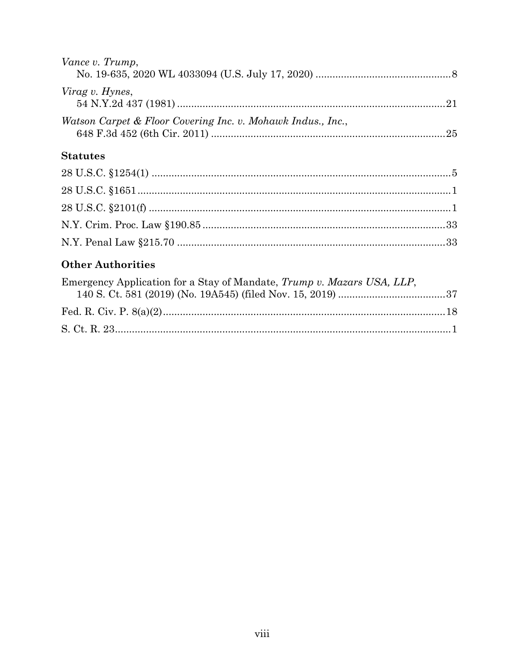| Vance v. Trump,                                             |  |
|-------------------------------------------------------------|--|
|                                                             |  |
| Virag v. Hynes,                                             |  |
| Watson Carpet & Floor Covering Inc. v. Mohawk Indus., Inc., |  |

# **Statutes**

# **Other Authorities**

| Emergency Application for a Stay of Mandate, Trump v. Mazars USA, LLP, |  |
|------------------------------------------------------------------------|--|
|                                                                        |  |
|                                                                        |  |
|                                                                        |  |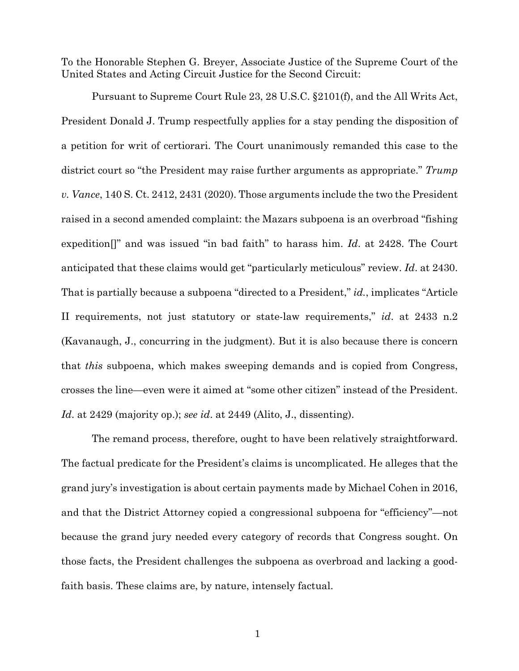To the Honorable Stephen G. Breyer, Associate Justice of the Supreme Court of the United States and Acting Circuit Justice for the Second Circuit:

Pursuant to Supreme Court Rule 23, 28 U.S.C. §2101(f), and the All Writs Act, President Donald J. Trump respectfully applies for a stay pending the disposition of a petition for writ of certiorari. The Court unanimously remanded this case to the district court so "the President may raise further arguments as appropriate." *Trump v. Vance*, 140 S. Ct. 2412, 2431 (2020). Those arguments include the two the President raised in a second amended complaint: the Mazars subpoena is an overbroad "fishing expedition[]" and was issued "in bad faith" to harass him. *Id*. at 2428. The Court anticipated that these claims would get "particularly meticulous" review. *Id*. at 2430. That is partially because a subpoena "directed to a President," *id.*, implicates "Article II requirements, not just statutory or state-law requirements," *id*. at 2433 n.2 (Kavanaugh, J., concurring in the judgment). But it is also because there is concern that *this* subpoena, which makes sweeping demands and is copied from Congress, crosses the line—even were it aimed at "some other citizen" instead of the President. *Id*. at 2429 (majority op.); *see id*. at 2449 (Alito, J., dissenting).

The remand process, therefore, ought to have been relatively straightforward. The factual predicate for the President's claims is uncomplicated. He alleges that the grand jury's investigation is about certain payments made by Michael Cohen in 2016, and that the District Attorney copied a congressional subpoena for "efficiency"—not because the grand jury needed every category of records that Congress sought. On those facts, the President challenges the subpoena as overbroad and lacking a goodfaith basis. These claims are, by nature, intensely factual.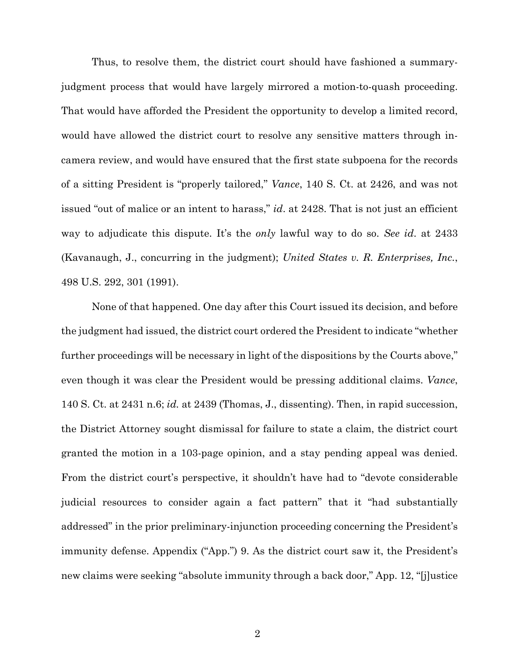Thus, to resolve them, the district court should have fashioned a summaryjudgment process that would have largely mirrored a motion-to-quash proceeding. That would have afforded the President the opportunity to develop a limited record, would have allowed the district court to resolve any sensitive matters through incamera review, and would have ensured that the first state subpoena for the records of a sitting President is "properly tailored," *Vance*, 140 S. Ct. at 2426, and was not issued "out of malice or an intent to harass," *id*. at 2428. That is not just an efficient way to adjudicate this dispute. It's the *only* lawful way to do so. *See id*. at 2433 (Kavanaugh, J., concurring in the judgment); *United States v. R. Enterprises, Inc.*, 498 U.S. 292, 301 (1991).

None of that happened. One day after this Court issued its decision, and before the judgment had issued, the district court ordered the President to indicate "whether further proceedings will be necessary in light of the dispositions by the Courts above," even though it was clear the President would be pressing additional claims. *Vance*, 140 S. Ct. at 2431 n.6; *id.* at 2439 (Thomas, J., dissenting). Then, in rapid succession, the District Attorney sought dismissal for failure to state a claim, the district court granted the motion in a 103-page opinion, and a stay pending appeal was denied. From the district court's perspective, it shouldn't have had to "devote considerable judicial resources to consider again a fact pattern" that it "had substantially addressed" in the prior preliminary-injunction proceeding concerning the President's immunity defense. Appendix ("App.") 9. As the district court saw it, the President's new claims were seeking "absolute immunity through a back door," App. 12, "[j]ustice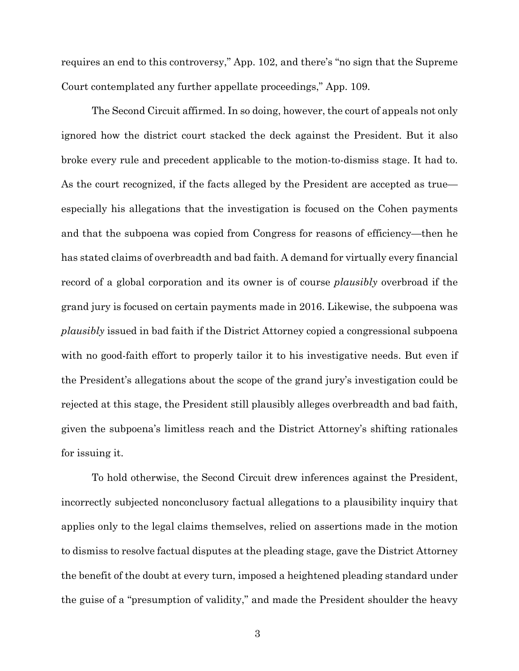requires an end to this controversy," App. 102, and there's "no sign that the Supreme Court contemplated any further appellate proceedings," App. 109.

The Second Circuit affirmed. In so doing, however, the court of appeals not only ignored how the district court stacked the deck against the President. But it also broke every rule and precedent applicable to the motion-to-dismiss stage. It had to. As the court recognized, if the facts alleged by the President are accepted as true especially his allegations that the investigation is focused on the Cohen payments and that the subpoena was copied from Congress for reasons of efficiency—then he has stated claims of overbreadth and bad faith. A demand for virtually every financial record of a global corporation and its owner is of course *plausibly* overbroad if the grand jury is focused on certain payments made in 2016. Likewise, the subpoena was *plausibly* issued in bad faith if the District Attorney copied a congressional subpoena with no good-faith effort to properly tailor it to his investigative needs. But even if the President's allegations about the scope of the grand jury's investigation could be rejected at this stage, the President still plausibly alleges overbreadth and bad faith, given the subpoena's limitless reach and the District Attorney's shifting rationales for issuing it.

To hold otherwise, the Second Circuit drew inferences against the President, incorrectly subjected nonconclusory factual allegations to a plausibility inquiry that applies only to the legal claims themselves, relied on assertions made in the motion to dismiss to resolve factual disputes at the pleading stage, gave the District Attorney the benefit of the doubt at every turn, imposed a heightened pleading standard under the guise of a "presumption of validity," and made the President shoulder the heavy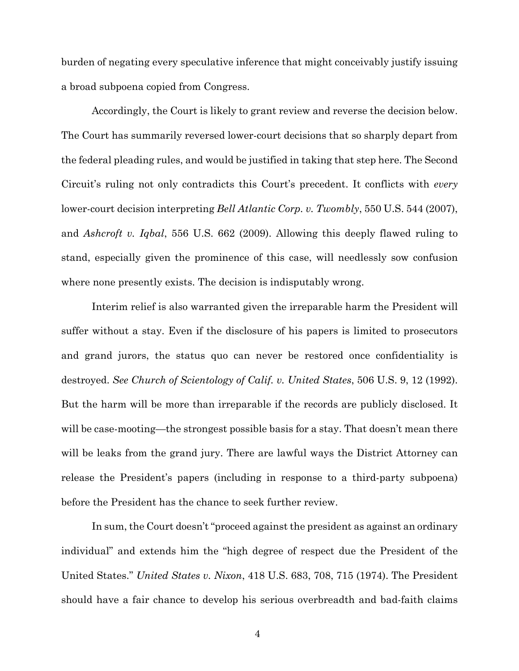burden of negating every speculative inference that might conceivably justify issuing a broad subpoena copied from Congress.

Accordingly, the Court is likely to grant review and reverse the decision below. The Court has summarily reversed lower-court decisions that so sharply depart from the federal pleading rules, and would be justified in taking that step here. The Second Circuit's ruling not only contradicts this Court's precedent. It conflicts with *every*  lower-court decision interpreting *Bell Atlantic Corp. v. Twombly*, 550 U.S. 544 (2007), and *Ashcroft v. Iqbal*, 556 U.S. 662 (2009). Allowing this deeply flawed ruling to stand, especially given the prominence of this case, will needlessly sow confusion where none presently exists. The decision is indisputably wrong.

Interim relief is also warranted given the irreparable harm the President will suffer without a stay. Even if the disclosure of his papers is limited to prosecutors and grand jurors, the status quo can never be restored once confidentiality is destroyed. *See Church of Scientology of Calif. v. United States*, 506 U.S. 9, 12 (1992). But the harm will be more than irreparable if the records are publicly disclosed. It will be case-mooting—the strongest possible basis for a stay. That doesn't mean there will be leaks from the grand jury. There are lawful ways the District Attorney can release the President's papers (including in response to a third-party subpoena) before the President has the chance to seek further review.

In sum, the Court doesn't "proceed against the president as against an ordinary individual" and extends him the "high degree of respect due the President of the United States." *United States v. Nixon*, 418 U.S. 683, 708, 715 (1974). The President should have a fair chance to develop his serious overbreadth and bad-faith claims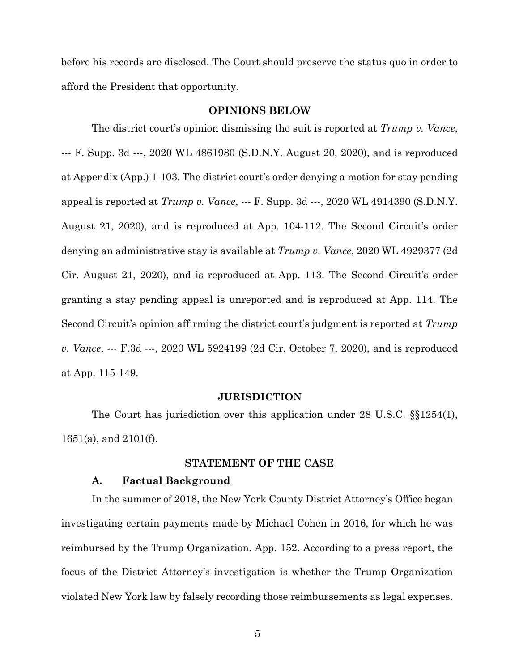before his records are disclosed. The Court should preserve the status quo in order to afford the President that opportunity.

#### **OPINIONS BELOW**

The district court's opinion dismissing the suit is reported at *Trump v. Vance*, --- F. Supp. 3d ---, 2020 WL 4861980 (S.D.N.Y. August 20, 2020), and is reproduced at Appendix (App.) 1-103. The district court's order denying a motion for stay pending appeal is reported at *Trump v. Vance*, --- F. Supp. 3d ---, 2020 WL 4914390 (S.D.N.Y. August 21, 2020), and is reproduced at App. 104-112. The Second Circuit's order denying an administrative stay is available at *Trump v. Vance*, 2020 WL 4929377 (2d Cir. August 21, 2020), and is reproduced at App. 113. The Second Circuit's order granting a stay pending appeal is unreported and is reproduced at App. 114. The Second Circuit's opinion affirming the district court's judgment is reported at *Trump v. Vance*, --- F.3d ---, 2020 WL 5924199 (2d Cir. October 7, 2020), and is reproduced at App. 115-149.

#### **JURISDICTION**

The Court has jurisdiction over this application under 28 U.S.C. §§1254(1), 1651(a), and 2101(f).

### **STATEMENT OF THE CASE**

### **A. Factual Background**

In the summer of 2018, the New York County District Attorney's Office began investigating certain payments made by Michael Cohen in 2016, for which he was reimbursed by the Trump Organization. App. 152. According to a press report, the focus of the District Attorney's investigation is whether the Trump Organization violated New York law by falsely recording those reimbursements as legal expenses.

5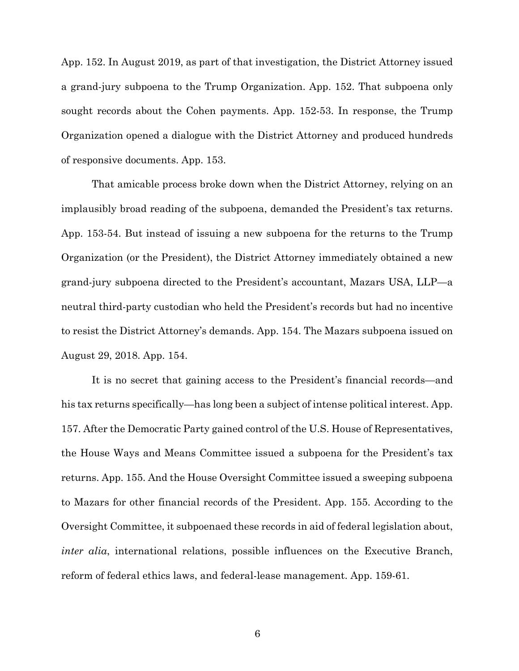App. 152. In August 2019, as part of that investigation, the District Attorney issued a grand-jury subpoena to the Trump Organization. App. 152. That subpoena only sought records about the Cohen payments. App. 152-53. In response, the Trump Organization opened a dialogue with the District Attorney and produced hundreds of responsive documents. App. 153.

That amicable process broke down when the District Attorney, relying on an implausibly broad reading of the subpoena, demanded the President's tax returns. App. 153-54. But instead of issuing a new subpoena for the returns to the Trump Organization (or the President), the District Attorney immediately obtained a new grand-jury subpoena directed to the President's accountant, Mazars USA, LLP—a neutral third-party custodian who held the President's records but had no incentive to resist the District Attorney's demands. App. 154. The Mazars subpoena issued on August 29, 2018. App. 154.

It is no secret that gaining access to the President's financial records—and his tax returns specifically—has long been a subject of intense political interest. App. 157. After the Democratic Party gained control of the U.S. House of Representatives, the House Ways and Means Committee issued a subpoena for the President's tax returns. App. 155. And the House Oversight Committee issued a sweeping subpoena to Mazars for other financial records of the President. App. 155. According to the Oversight Committee, it subpoenaed these records in aid of federal legislation about, *inter alia*, international relations, possible influences on the Executive Branch, reform of federal ethics laws, and federal-lease management. App. 159-61.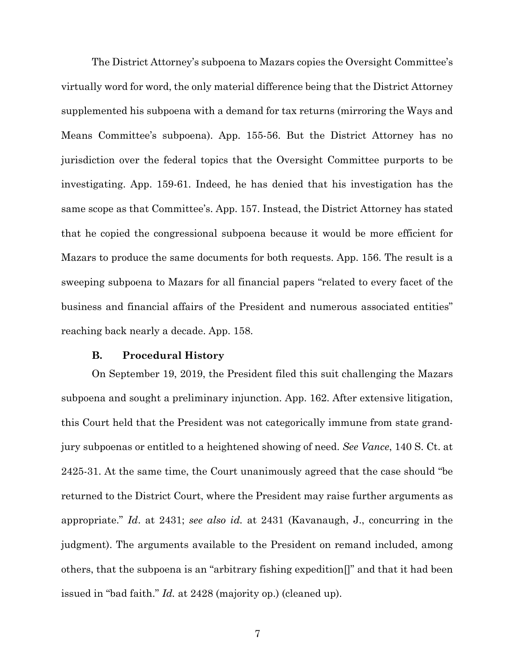The District Attorney's subpoena to Mazars copies the Oversight Committee's virtually word for word, the only material difference being that the District Attorney supplemented his subpoena with a demand for tax returns (mirroring the Ways and Means Committee's subpoena). App. 155-56. But the District Attorney has no jurisdiction over the federal topics that the Oversight Committee purports to be investigating. App. 159-61. Indeed, he has denied that his investigation has the same scope as that Committee's. App. 157. Instead, the District Attorney has stated that he copied the congressional subpoena because it would be more efficient for Mazars to produce the same documents for both requests. App. 156. The result is a sweeping subpoena to Mazars for all financial papers "related to every facet of the business and financial affairs of the President and numerous associated entities" reaching back nearly a decade. App. 158.

#### **B. Procedural History**

On September 19, 2019, the President filed this suit challenging the Mazars subpoena and sought a preliminary injunction. App. 162. After extensive litigation, this Court held that the President was not categorically immune from state grandjury subpoenas or entitled to a heightened showing of need. *See Vance*, 140 S. Ct. at 2425-31. At the same time, the Court unanimously agreed that the case should "be returned to the District Court, where the President may raise further arguments as appropriate." *Id*. at 2431; *see also id.* at 2431 (Kavanaugh, J., concurring in the judgment). The arguments available to the President on remand included, among others, that the subpoena is an "arbitrary fishing expedition[]" and that it had been issued in "bad faith." *Id.* at 2428 (majority op.) (cleaned up).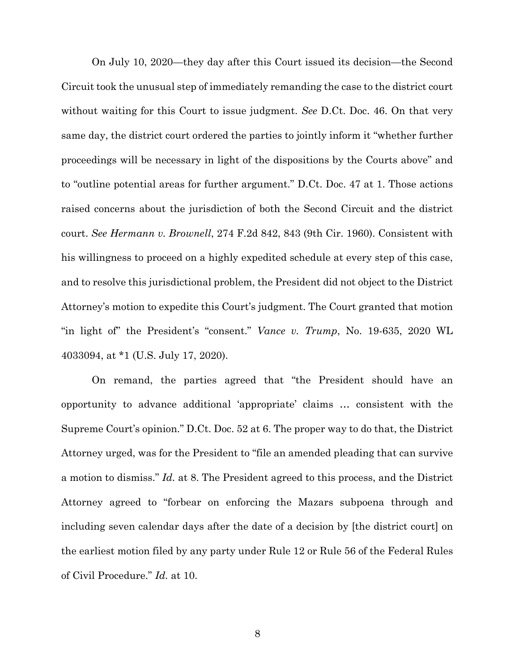On July 10, 2020—they day after this Court issued its decision—the Second Circuit took the unusual step of immediately remanding the case to the district court without waiting for this Court to issue judgment. *See* D.Ct. Doc. 46. On that very same day, the district court ordered the parties to jointly inform it "whether further proceedings will be necessary in light of the dispositions by the Courts above" and to "outline potential areas for further argument." D.Ct. Doc. 47 at 1. Those actions raised concerns about the jurisdiction of both the Second Circuit and the district court. *See Hermann v. Brownell*, 274 F.2d 842, 843 (9th Cir. 1960). Consistent with his willingness to proceed on a highly expedited schedule at every step of this case, and to resolve this jurisdictional problem, the President did not object to the District Attorney's motion to expedite this Court's judgment. The Court granted that motion "in light of" the President's "consent." *Vance v. Trump*, No. 19-635, 2020 WL 4033094, at \*1 (U.S. July 17, 2020).

On remand, the parties agreed that "the President should have an opportunity to advance additional 'appropriate' claims … consistent with the Supreme Court's opinion." D.Ct. Doc. 52 at 6. The proper way to do that, the District Attorney urged, was for the President to "file an amended pleading that can survive a motion to dismiss." *Id.* at 8. The President agreed to this process, and the District Attorney agreed to "forbear on enforcing the Mazars subpoena through and including seven calendar days after the date of a decision by [the district court] on the earliest motion filed by any party under Rule 12 or Rule 56 of the Federal Rules of Civil Procedure." *Id.* at 10.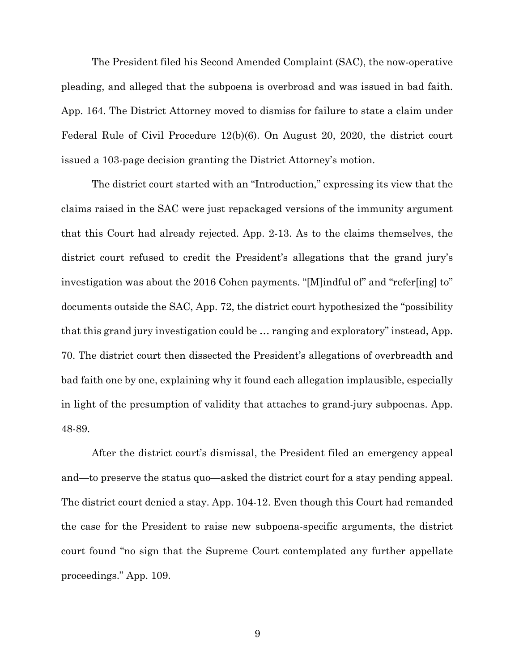The President filed his Second Amended Complaint (SAC), the now-operative pleading, and alleged that the subpoena is overbroad and was issued in bad faith. App. 164. The District Attorney moved to dismiss for failure to state a claim under Federal Rule of Civil Procedure 12(b)(6). On August 20, 2020, the district court issued a 103-page decision granting the District Attorney's motion.

The district court started with an "Introduction," expressing its view that the claims raised in the SAC were just repackaged versions of the immunity argument that this Court had already rejected. App. 2-13. As to the claims themselves, the district court refused to credit the President's allegations that the grand jury's investigation was about the 2016 Cohen payments. "[M]indful of" and "refer[ing] to" documents outside the SAC, App. 72, the district court hypothesized the "possibility that this grand jury investigation could be … ranging and exploratory" instead, App. 70. The district court then dissected the President's allegations of overbreadth and bad faith one by one, explaining why it found each allegation implausible, especially in light of the presumption of validity that attaches to grand-jury subpoenas. App. 48-89.

After the district court's dismissal, the President filed an emergency appeal and—to preserve the status quo—asked the district court for a stay pending appeal. The district court denied a stay. App. 104-12. Even though this Court had remanded the case for the President to raise new subpoena-specific arguments, the district court found "no sign that the Supreme Court contemplated any further appellate proceedings." App. 109.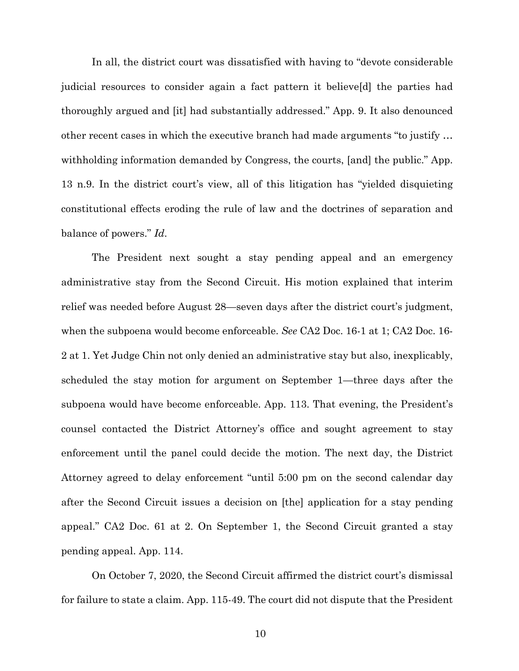In all, the district court was dissatisfied with having to "devote considerable judicial resources to consider again a fact pattern it believe[d] the parties had thoroughly argued and [it] had substantially addressed." App. 9. It also denounced other recent cases in which the executive branch had made arguments "to justify … withholding information demanded by Congress, the courts, [and] the public." App. 13 n.9. In the district court's view, all of this litigation has "yielded disquieting constitutional effects eroding the rule of law and the doctrines of separation and balance of powers." *Id*.

The President next sought a stay pending appeal and an emergency administrative stay from the Second Circuit. His motion explained that interim relief was needed before August 28—seven days after the district court's judgment, when the subpoena would become enforceable. *See* CA2 Doc. 16-1 at 1; CA2 Doc. 16- 2 at 1. Yet Judge Chin not only denied an administrative stay but also, inexplicably, scheduled the stay motion for argument on September 1—three days after the subpoena would have become enforceable. App. 113. That evening, the President's counsel contacted the District Attorney's office and sought agreement to stay enforcement until the panel could decide the motion. The next day, the District Attorney agreed to delay enforcement "until 5:00 pm on the second calendar day after the Second Circuit issues a decision on [the] application for a stay pending appeal." CA2 Doc. 61 at 2. On September 1, the Second Circuit granted a stay pending appeal. App. 114.

On October 7, 2020, the Second Circuit affirmed the district court's dismissal for failure to state a claim. App. 115-49. The court did not dispute that the President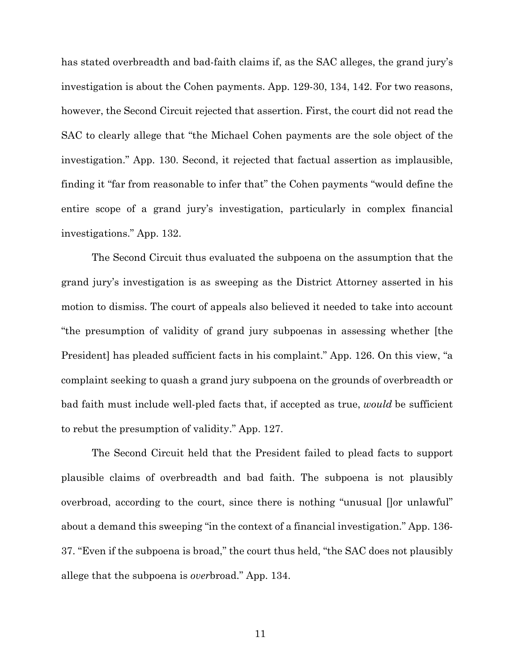has stated overbreadth and bad-faith claims if, as the SAC alleges, the grand jury's investigation is about the Cohen payments. App. 129-30, 134, 142. For two reasons, however, the Second Circuit rejected that assertion. First, the court did not read the SAC to clearly allege that "the Michael Cohen payments are the sole object of the investigation." App. 130. Second, it rejected that factual assertion as implausible, finding it "far from reasonable to infer that" the Cohen payments "would define the entire scope of a grand jury's investigation, particularly in complex financial investigations." App. 132.

The Second Circuit thus evaluated the subpoena on the assumption that the grand jury's investigation is as sweeping as the District Attorney asserted in his motion to dismiss. The court of appeals also believed it needed to take into account "the presumption of validity of grand jury subpoenas in assessing whether [the President] has pleaded sufficient facts in his complaint." App. 126. On this view, "a complaint seeking to quash a grand jury subpoena on the grounds of overbreadth or bad faith must include well-pled facts that, if accepted as true, *would* be sufficient to rebut the presumption of validity." App. 127.

The Second Circuit held that the President failed to plead facts to support plausible claims of overbreadth and bad faith. The subpoena is not plausibly overbroad, according to the court, since there is nothing "unusual []or unlawful" about a demand this sweeping "in the context of a financial investigation." App. 136- 37. "Even if the subpoena is broad," the court thus held, "the SAC does not plausibly allege that the subpoena is *over*broad." App. 134.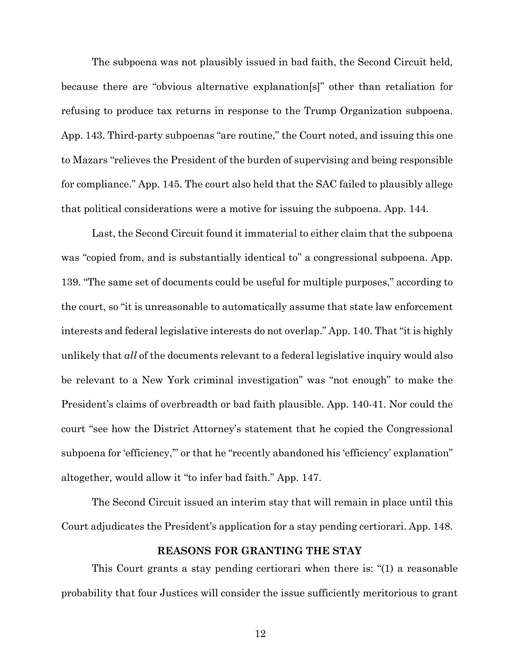The subpoena was not plausibly issued in bad faith, the Second Circuit held, because there are "obvious alternative explanation[s]" other than retaliation for refusing to produce tax returns in response to the Trump Organization subpoena. App. 143. Third-party subpoenas "are routine," the Court noted, and issuing this one to Mazars "relieves the President of the burden of supervising and being responsible for compliance." App. 145. The court also held that the SAC failed to plausibly allege that political considerations were a motive for issuing the subpoena. App. 144.

Last, the Second Circuit found it immaterial to either claim that the subpoena was "copied from, and is substantially identical to" a congressional subpoena. App. 139. "The same set of documents could be useful for multiple purposes," according to the court, so "it is unreasonable to automatically assume that state law enforcement interests and federal legislative interests do not overlap." App. 140. That "it is highly unlikely that *all* of the documents relevant to a federal legislative inquiry would also be relevant to a New York criminal investigation" was "not enough" to make the President's claims of overbreadth or bad faith plausible. App. 140-41. Nor could the court "see how the District Attorney's statement that he copied the Congressional subpoena for 'efficiency," or that he "recently abandoned his 'efficiency' explanation" altogether, would allow it "to infer bad faith." App. 147.

The Second Circuit issued an interim stay that will remain in place until this Court adjudicates the President's application for a stay pending certiorari. App. 148.

### **REASONS FOR GRANTING THE STAY**

This Court grants a stay pending certiorari when there is: "(1) a reasonable probability that four Justices will consider the issue sufficiently meritorious to grant

12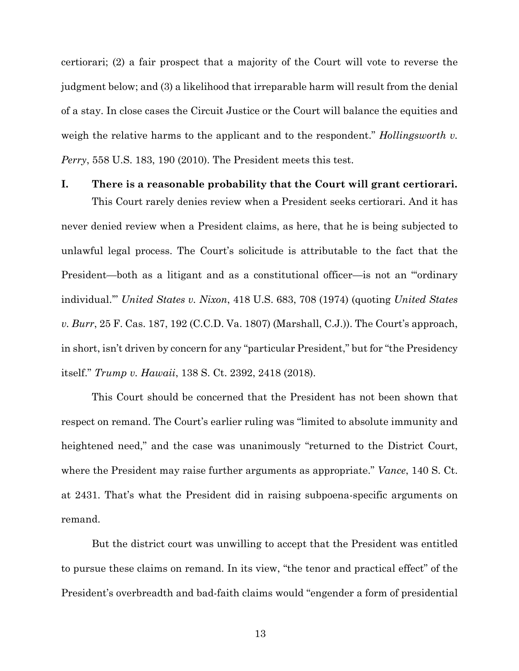certiorari; (2) a fair prospect that a majority of the Court will vote to reverse the judgment below; and (3) a likelihood that irreparable harm will result from the denial of a stay. In close cases the Circuit Justice or the Court will balance the equities and weigh the relative harms to the applicant and to the respondent." *Hollingsworth v. Perry*, 558 U.S. 183, 190 (2010). The President meets this test.

**I. There is a reasonable probability that the Court will grant certiorari.** This Court rarely denies review when a President seeks certiorari. And it has never denied review when a President claims, as here, that he is being subjected to unlawful legal process. The Court's solicitude is attributable to the fact that the President—both as a litigant and as a constitutional officer—is not an "'ordinary individual.'" *United States v. Nixon*, 418 U.S. 683, 708 (1974) (quoting *United States v. Burr*, 25 F. Cas. 187, 192 (C.C.D. Va. 1807) (Marshall, C.J.)). The Court's approach, in short, isn't driven by concern for any "particular President," but for "the Presidency itself." *Trump v. Hawaii*, 138 S. Ct. 2392, 2418 (2018).

This Court should be concerned that the President has not been shown that respect on remand. The Court's earlier ruling was "limited to absolute immunity and heightened need," and the case was unanimously "returned to the District Court, where the President may raise further arguments as appropriate." *Vance*, 140 S. Ct. at 2431. That's what the President did in raising subpoena-specific arguments on remand.

But the district court was unwilling to accept that the President was entitled to pursue these claims on remand. In its view, "the tenor and practical effect" of the President's overbreadth and bad-faith claims would "engender a form of presidential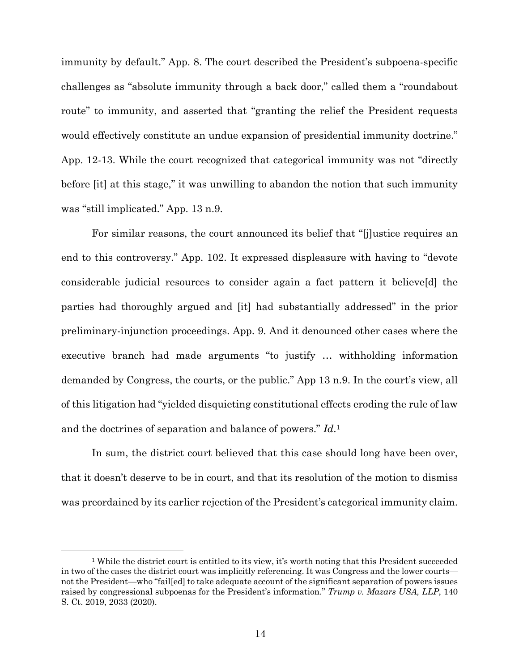immunity by default." App. 8. The court described the President's subpoena-specific challenges as "absolute immunity through a back door," called them a "roundabout route" to immunity, and asserted that "granting the relief the President requests would effectively constitute an undue expansion of presidential immunity doctrine." App. 12-13. While the court recognized that categorical immunity was not "directly before [it] at this stage," it was unwilling to abandon the notion that such immunity was "still implicated." App. 13 n.9.

For similar reasons, the court announced its belief that "[j]ustice requires an end to this controversy." App. 102. It expressed displeasure with having to "devote considerable judicial resources to consider again a fact pattern it believe[d] the parties had thoroughly argued and [it] had substantially addressed" in the prior preliminary-injunction proceedings. App. 9. And it denounced other cases where the executive branch had made arguments "to justify … withholding information demanded by Congress, the courts, or the public." App 13 n.9. In the court's view, all of this litigation had "yielded disquieting constitutional effects eroding the rule of law and the doctrines of separation and balance of powers." *Id*.1

In sum, the district court believed that this case should long have been over, that it doesn't deserve to be in court, and that its resolution of the motion to dismiss was preordained by its earlier rejection of the President's categorical immunity claim.

<sup>1</sup> While the district court is entitled to its view, it's worth noting that this President succeeded in two of the cases the district court was implicitly referencing. It was Congress and the lower courts not the President—who "fail[ed] to take adequate account of the significant separation of powers issues raised by congressional subpoenas for the President's information." *Trump v. Mazars USA, LLP*, 140 S. Ct. 2019, 2033 (2020).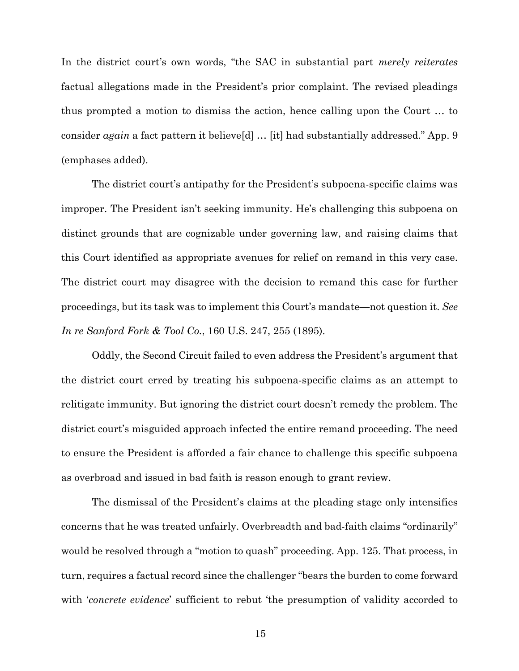In the district court's own words, "the SAC in substantial part *merely reiterates* factual allegations made in the President's prior complaint. The revised pleadings thus prompted a motion to dismiss the action, hence calling upon the Court … to consider *again* a fact pattern it believe[d] … [it] had substantially addressed." App. 9 (emphases added).

The district court's antipathy for the President's subpoena-specific claims was improper. The President isn't seeking immunity. He's challenging this subpoena on distinct grounds that are cognizable under governing law, and raising claims that this Court identified as appropriate avenues for relief on remand in this very case. The district court may disagree with the decision to remand this case for further proceedings, but its task was to implement this Court's mandate—not question it. *See In re Sanford Fork & Tool Co.*, 160 U.S. 247, 255 (1895).

Oddly, the Second Circuit failed to even address the President's argument that the district court erred by treating his subpoena-specific claims as an attempt to relitigate immunity. But ignoring the district court doesn't remedy the problem. The district court's misguided approach infected the entire remand proceeding. The need to ensure the President is afforded a fair chance to challenge this specific subpoena as overbroad and issued in bad faith is reason enough to grant review.

The dismissal of the President's claims at the pleading stage only intensifies concerns that he was treated unfairly. Overbreadth and bad-faith claims "ordinarily" would be resolved through a "motion to quash" proceeding. App. 125. That process, in turn, requires a factual record since the challenger "bears the burden to come forward with *'concrete evidence'* sufficient to rebut 'the presumption of validity accorded to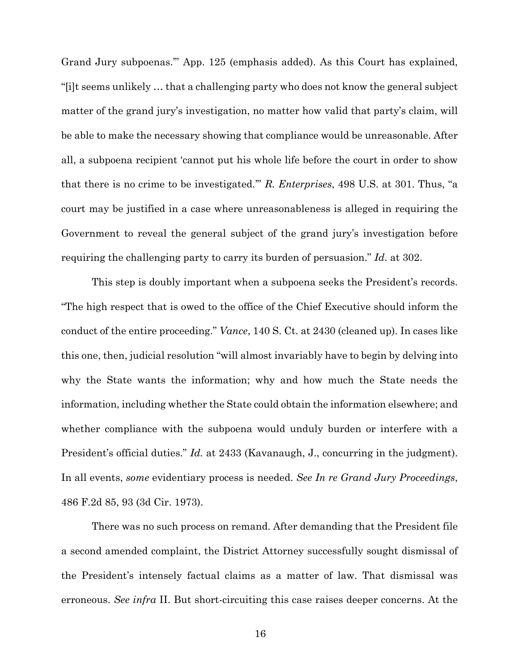Grand Jury subpoenas.'" App. 125 (emphasis added). As this Court has explained, "[i]t seems unlikely … that a challenging party who does not know the general subject matter of the grand jury's investigation, no matter how valid that party's claim, will be able to make the necessary showing that compliance would be unreasonable. After all, a subpoena recipient 'cannot put his whole life before the court in order to show that there is no crime to be investigated.'" *R. Enterprises*, 498 U.S. at 301. Thus, "a court may be justified in a case where unreasonableness is alleged in requiring the Government to reveal the general subject of the grand jury's investigation before requiring the challenging party to carry its burden of persuasion." *Id*. at 302.

This step is doubly important when a subpoena seeks the President's records. "The high respect that is owed to the office of the Chief Executive should inform the conduct of the entire proceeding." *Vance*, 140 S. Ct. at 2430 (cleaned up). In cases like this one, then, judicial resolution "will almost invariably have to begin by delving into why the State wants the information; why and how much the State needs the information, including whether the State could obtain the information elsewhere; and whether compliance with the subpoena would unduly burden or interfere with a President's official duties." *Id.* at 2433 (Kavanaugh, J., concurring in the judgment). In all events, *some* evidentiary process is needed. *See In re Grand Jury Proceedings*, 486 F.2d 85, 93 (3d Cir. 1973).

There was no such process on remand. After demanding that the President file a second amended complaint, the District Attorney successfully sought dismissal of the President's intensely factual claims as a matter of law. That dismissal was erroneous. *See infra* II. But short-circuiting this case raises deeper concerns. At the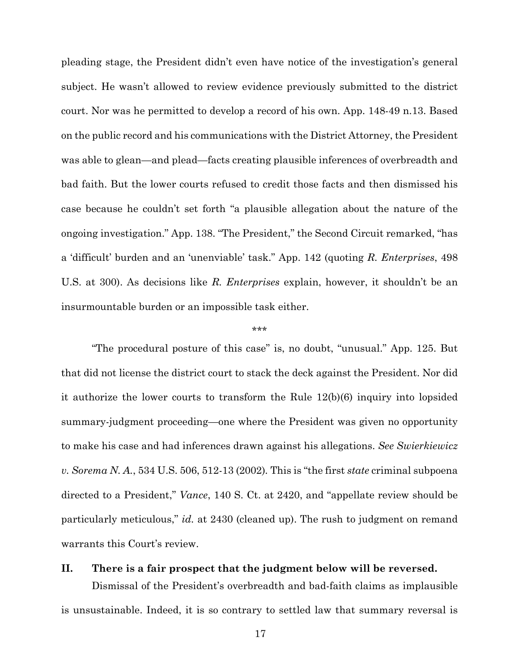pleading stage, the President didn't even have notice of the investigation's general subject. He wasn't allowed to review evidence previously submitted to the district court. Nor was he permitted to develop a record of his own. App. 148-49 n.13. Based on the public record and his communications with the District Attorney, the President was able to glean—and plead—facts creating plausible inferences of overbreadth and bad faith. But the lower courts refused to credit those facts and then dismissed his case because he couldn't set forth "a plausible allegation about the nature of the ongoing investigation." App. 138. "The President," the Second Circuit remarked, "has a 'difficult' burden and an 'unenviable' task." App. 142 (quoting *R. Enterprises*, 498 U.S. at 300). As decisions like *R. Enterprises* explain, however, it shouldn't be an insurmountable burden or an impossible task either.

#### \*\*\*

"The procedural posture of this case" is, no doubt, "unusual." App. 125. But that did not license the district court to stack the deck against the President. Nor did it authorize the lower courts to transform the Rule 12(b)(6) inquiry into lopsided summary-judgment proceeding—one where the President was given no opportunity to make his case and had inferences drawn against his allegations. *See Swierkiewicz v. Sorema N. A.*, 534 U.S. 506, 512-13 (2002)*.* This is "the first *state* criminal subpoena directed to a President," *Vance*, 140 S. Ct. at 2420, and "appellate review should be particularly meticulous," *id.* at 2430 (cleaned up). The rush to judgment on remand warrants this Court's review.

# **II. There is a fair prospect that the judgment below will be reversed.**

Dismissal of the President's overbreadth and bad-faith claims as implausible is unsustainable. Indeed, it is so contrary to settled law that summary reversal is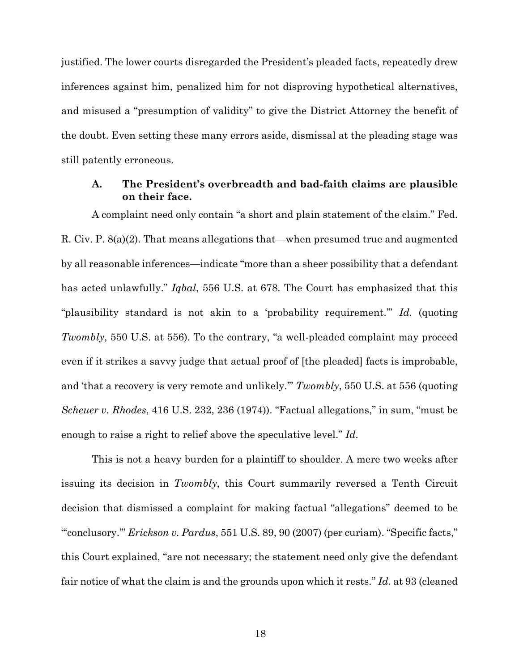justified. The lower courts disregarded the President's pleaded facts, repeatedly drew inferences against him, penalized him for not disproving hypothetical alternatives, and misused a "presumption of validity" to give the District Attorney the benefit of the doubt. Even setting these many errors aside, dismissal at the pleading stage was still patently erroneous.

## **A. The President's overbreadth and bad-faith claims are plausible on their face.**

A complaint need only contain "a short and plain statement of the claim." Fed. R. Civ. P. 8(a)(2). That means allegations that—when presumed true and augmented by all reasonable inferences—indicate "more than a sheer possibility that a defendant has acted unlawfully." *Iqbal*, 556 U.S. at 678. The Court has emphasized that this "plausibility standard is not akin to a 'probability requirement.'" *Id.* (quoting *Twombly*, 550 U.S. at 556). To the contrary, "a well-pleaded complaint may proceed even if it strikes a savvy judge that actual proof of [the pleaded] facts is improbable, and 'that a recovery is very remote and unlikely.'" *Twombly*, 550 U.S. at 556 (quoting *Scheuer v. Rhodes*, 416 U.S. 232, 236 (1974)). "Factual allegations," in sum, "must be enough to raise a right to relief above the speculative level." *Id*.

This is not a heavy burden for a plaintiff to shoulder. A mere two weeks after issuing its decision in *Twombly*, this Court summarily reversed a Tenth Circuit decision that dismissed a complaint for making factual "allegations" deemed to be "'conclusory.'" *Erickson v. Pardus*, 551 U.S. 89, 90 (2007) (per curiam). "Specific facts," this Court explained, "are not necessary; the statement need only give the defendant fair notice of what the claim is and the grounds upon which it rests." *Id*. at 93 (cleaned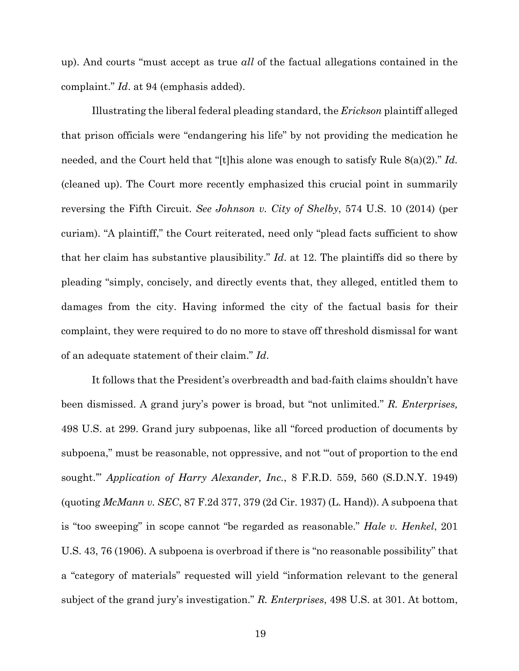up). And courts "must accept as true *all* of the factual allegations contained in the complaint." *Id*. at 94 (emphasis added).

Illustrating the liberal federal pleading standard, the *Erickson* plaintiff alleged that prison officials were "endangering his life" by not providing the medication he needed, and the Court held that "[t]his alone was enough to satisfy Rule 8(a)(2)." *Id.* (cleaned up). The Court more recently emphasized this crucial point in summarily reversing the Fifth Circuit. *See Johnson v. City of Shelby*, 574 U.S. 10 (2014) (per curiam). "A plaintiff," the Court reiterated, need only "plead facts sufficient to show that her claim has substantive plausibility." *Id*. at 12. The plaintiffs did so there by pleading "simply, concisely, and directly events that, they alleged, entitled them to damages from the city. Having informed the city of the factual basis for their complaint, they were required to do no more to stave off threshold dismissal for want of an adequate statement of their claim." *Id*.

It follows that the President's overbreadth and bad-faith claims shouldn't have been dismissed. A grand jury's power is broad, but "not unlimited." *R. Enterprises,*  498 U.S. at 299. Grand jury subpoenas, like all "forced production of documents by subpoena," must be reasonable, not oppressive, and not "'out of proportion to the end sought.'" *Application of Harry Alexander, Inc.*, 8 F.R.D. 559, 560 (S.D.N.Y. 1949) (quoting *McMann v. SEC*, 87 F.2d 377, 379 (2d Cir. 1937) (L. Hand)). A subpoena that is "too sweeping" in scope cannot "be regarded as reasonable." *Hale v. Henkel*, 201 U.S. 43, 76 (1906). A subpoena is overbroad if there is "no reasonable possibility" that a "category of materials" requested will yield "information relevant to the general subject of the grand jury's investigation." *R. Enterprises*, 498 U.S. at 301. At bottom,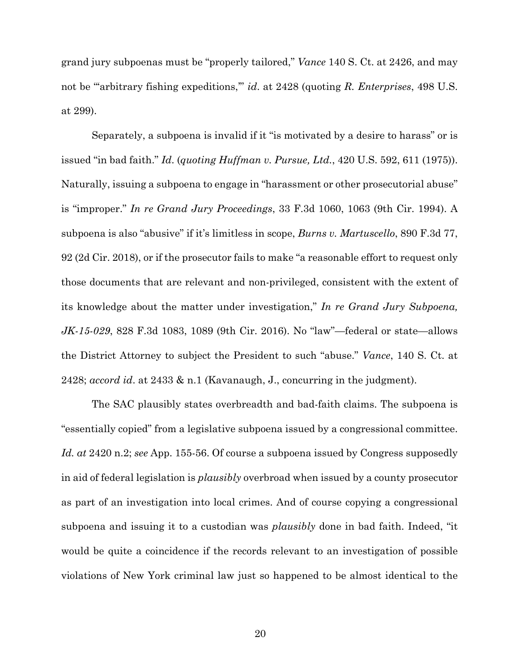grand jury subpoenas must be "properly tailored," *Vance* 140 S. Ct. at 2426, and may not be "arbitrary fishing expeditions," *id.* at 2428 (quoting *R. Enterprises*, 498 U.S. at 299).

Separately, a subpoena is invalid if it "is motivated by a desire to harass" or is issued "in bad faith." *Id*. (*quoting Huffman v. Pursue, Ltd.*, 420 U.S. 592, 611 (1975)). Naturally, issuing a subpoena to engage in "harassment or other prosecutorial abuse" is "improper." *In re Grand Jury Proceedings*, 33 F.3d 1060, 1063 (9th Cir. 1994). A subpoena is also "abusive" if it's limitless in scope, *Burns v. Martuscello*, 890 F.3d 77, 92 (2d Cir. 2018), or if the prosecutor fails to make "a reasonable effort to request only those documents that are relevant and non-privileged, consistent with the extent of its knowledge about the matter under investigation," *In re Grand Jury Subpoena, JK-15-029*, 828 F.3d 1083, 1089 (9th Cir. 2016). No "law"—federal or state—allows the District Attorney to subject the President to such "abuse." *Vance*, 140 S. Ct. at 2428; *accord id*. at 2433 & n.1 (Kavanaugh, J., concurring in the judgment).

The SAC plausibly states overbreadth and bad-faith claims. The subpoena is "essentially copied" from a legislative subpoena issued by a congressional committee. *Id. at* 2420 n.2; *see* App. 155-56. Of course a subpoena issued by Congress supposedly in aid of federal legislation is *plausibly* overbroad when issued by a county prosecutor as part of an investigation into local crimes. And of course copying a congressional subpoena and issuing it to a custodian was *plausibly* done in bad faith. Indeed, "it would be quite a coincidence if the records relevant to an investigation of possible violations of New York criminal law just so happened to be almost identical to the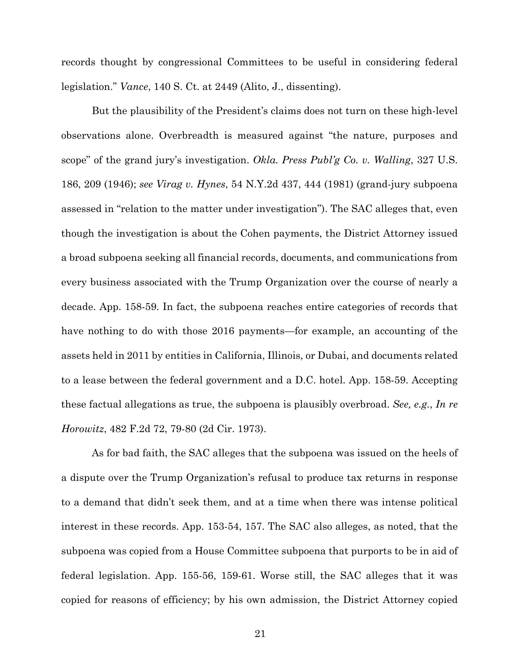records thought by congressional Committees to be useful in considering federal legislation." *Vance*, 140 S. Ct. at 2449 (Alito, J., dissenting).

But the plausibility of the President's claims does not turn on these high-level observations alone. Overbreadth is measured against "the nature, purposes and scope" of the grand jury's investigation. *Okla. Press Publ'g Co. v. Walling*, 327 U.S. 186, 209 (1946); *see Virag v. Hynes*, 54 N.Y.2d 437, 444 (1981) (grand-jury subpoena assessed in "relation to the matter under investigation"). The SAC alleges that, even though the investigation is about the Cohen payments, the District Attorney issued a broad subpoena seeking all financial records, documents, and communications from every business associated with the Trump Organization over the course of nearly a decade. App. 158-59. In fact, the subpoena reaches entire categories of records that have nothing to do with those 2016 payments—for example, an accounting of the assets held in 2011 by entities in California, Illinois, or Dubai, and documents related to a lease between the federal government and a D.C. hotel. App. 158-59. Accepting these factual allegations as true, the subpoena is plausibly overbroad. *See, e.g.*, *In re Horowitz*, 482 F.2d 72, 79-80 (2d Cir. 1973).

As for bad faith, the SAC alleges that the subpoena was issued on the heels of a dispute over the Trump Organization's refusal to produce tax returns in response to a demand that didn't seek them, and at a time when there was intense political interest in these records. App. 153-54, 157. The SAC also alleges, as noted, that the subpoena was copied from a House Committee subpoena that purports to be in aid of federal legislation. App. 155-56, 159-61. Worse still, the SAC alleges that it was copied for reasons of efficiency; by his own admission, the District Attorney copied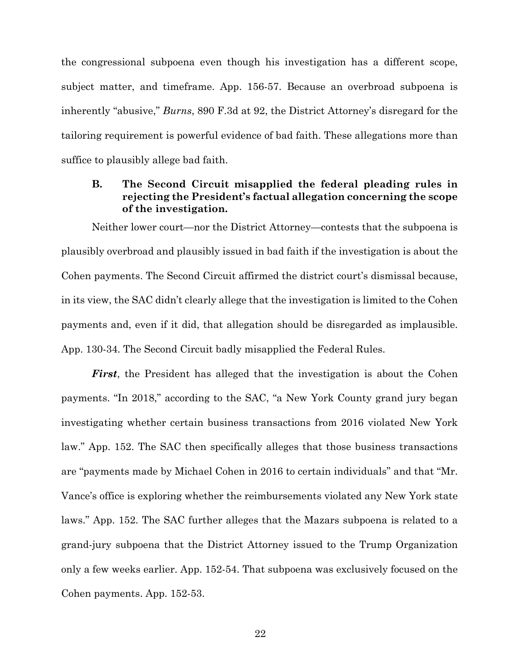the congressional subpoena even though his investigation has a different scope, subject matter, and timeframe. App. 156-57. Because an overbroad subpoena is inherently "abusive," *Burns*, 890 F.3d at 92, the District Attorney's disregard for the tailoring requirement is powerful evidence of bad faith. These allegations more than suffice to plausibly allege bad faith.

## **B. The Second Circuit misapplied the federal pleading rules in rejecting the President's factual allegation concerning the scope of the investigation.**

Neither lower court—nor the District Attorney—contests that the subpoena is plausibly overbroad and plausibly issued in bad faith if the investigation is about the Cohen payments. The Second Circuit affirmed the district court's dismissal because, in its view, the SAC didn't clearly allege that the investigation is limited to the Cohen payments and, even if it did, that allegation should be disregarded as implausible. App. 130-34. The Second Circuit badly misapplied the Federal Rules.

*First*, the President has alleged that the investigation is about the Cohen payments. "In 2018," according to the SAC, "a New York County grand jury began investigating whether certain business transactions from 2016 violated New York law." App. 152. The SAC then specifically alleges that those business transactions are "payments made by Michael Cohen in 2016 to certain individuals" and that "Mr. Vance's office is exploring whether the reimbursements violated any New York state laws." App. 152. The SAC further alleges that the Mazars subpoena is related to a grand-jury subpoena that the District Attorney issued to the Trump Organization only a few weeks earlier. App. 152-54. That subpoena was exclusively focused on the Cohen payments. App. 152-53.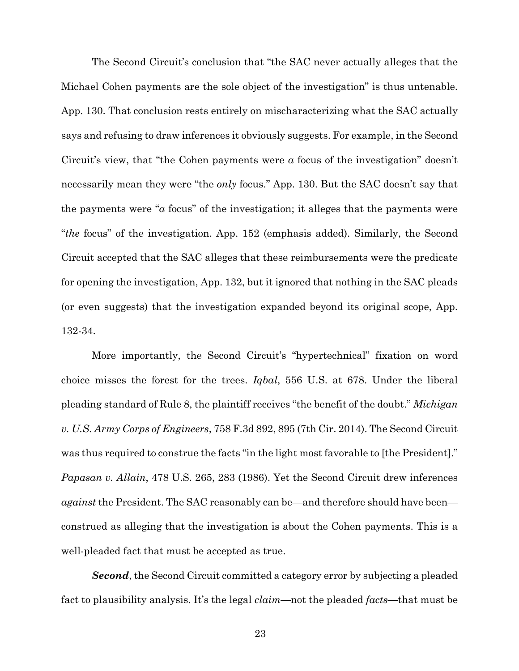The Second Circuit's conclusion that "the SAC never actually alleges that the Michael Cohen payments are the sole object of the investigation" is thus untenable. App. 130. That conclusion rests entirely on mischaracterizing what the SAC actually says and refusing to draw inferences it obviously suggests. For example, in the Second Circuit's view, that "the Cohen payments were *a* focus of the investigation" doesn't necessarily mean they were "the *only* focus." App. 130. But the SAC doesn't say that the payments were "*a* focus" of the investigation; it alleges that the payments were "*the* focus" of the investigation. App. 152 (emphasis added). Similarly, the Second Circuit accepted that the SAC alleges that these reimbursements were the predicate for opening the investigation, App. 132, but it ignored that nothing in the SAC pleads (or even suggests) that the investigation expanded beyond its original scope, App. 132-34.

More importantly, the Second Circuit's "hypertechnical" fixation on word choice misses the forest for the trees. *Iqbal*, 556 U.S. at 678. Under the liberal pleading standard of Rule 8, the plaintiff receives "the benefit of the doubt." *Michigan v. U.S. Army Corps of Engineers*, 758 F.3d 892, 895 (7th Cir. 2014). The Second Circuit was thus required to construe the facts "in the light most favorable to [the President]." *Papasan v. Allain*, 478 U.S. 265, 283 (1986). Yet the Second Circuit drew inferences *against* the President. The SAC reasonably can be—and therefore should have been construed as alleging that the investigation is about the Cohen payments. This is a well-pleaded fact that must be accepted as true.

*Second*, the Second Circuit committed a category error by subjecting a pleaded fact to plausibility analysis. It's the legal *claim*—not the pleaded *facts*—that must be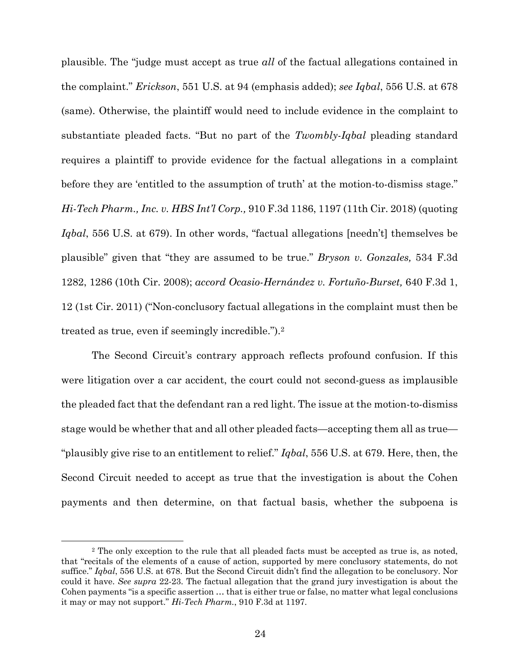plausible. The "judge must accept as true *all* of the factual allegations contained in the complaint." *Erickson*, 551 U.S. at 94 (emphasis added); *see Iqbal*, 556 U.S. at 678 (same). Otherwise, the plaintiff would need to include evidence in the complaint to substantiate pleaded facts. "But no part of the *Twombly-Iqbal* pleading standard requires a plaintiff to provide evidence for the factual allegations in a complaint before they are 'entitled to the assumption of truth' at the motion-to-dismiss stage." *Hi-Tech Pharm., Inc. v. HBS Int'l Corp.,* 910 F.3d 1186, 1197 (11th Cir. 2018) (quoting *Iqbal*, 556 U.S. at 679). In other words, "factual allegations [needn't] themselves be plausible" given that "they are assumed to be true." *Bryson v. Gonzales,* 534 F.3d 1282, 1286 (10th Cir. 2008); *accord Ocasio-Hernández v. Fortuño-Burset,* 640 F.3d 1, 12 (1st Cir. 2011) ("Non-conclusory factual allegations in the complaint must then be treated as true, even if seemingly incredible.").2

The Second Circuit's contrary approach reflects profound confusion. If this were litigation over a car accident, the court could not second-guess as implausible the pleaded fact that the defendant ran a red light. The issue at the motion-to-dismiss stage would be whether that and all other pleaded facts—accepting them all as true— "plausibly give rise to an entitlement to relief." *Iqbal*, 556 U.S. at 679. Here, then, the Second Circuit needed to accept as true that the investigation is about the Cohen payments and then determine, on that factual basis, whether the subpoena is

<sup>2</sup> The only exception to the rule that all pleaded facts must be accepted as true is, as noted, that "recitals of the elements of a cause of action, supported by mere conclusory statements, do not suffice." *Iqbal*, 556 U.S. at 678. But the Second Circuit didn't find the allegation to be conclusory. Nor could it have. *See supra* 22-23. The factual allegation that the grand jury investigation is about the Cohen payments "is a specific assertion … that is either true or false, no matter what legal conclusions it may or may not support." *Hi-Tech Pharm.*, 910 F.3d at 1197.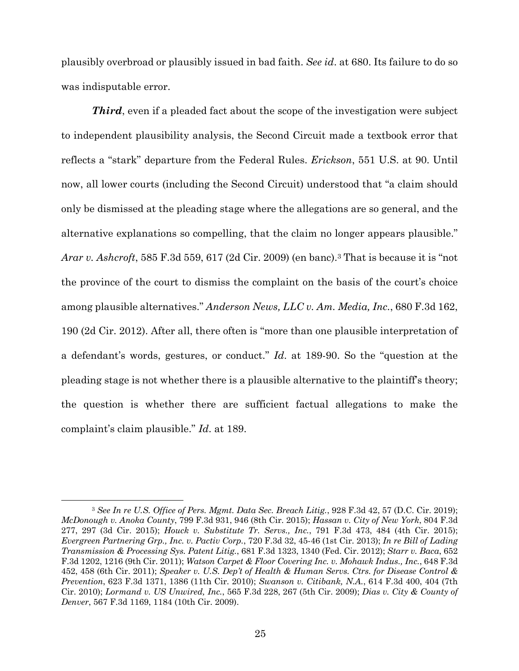plausibly overbroad or plausibly issued in bad faith. *See id*. at 680. Its failure to do so was indisputable error.

*Third*, even if a pleaded fact about the scope of the investigation were subject to independent plausibility analysis, the Second Circuit made a textbook error that reflects a "stark" departure from the Federal Rules. *Erickson*, 551 U.S. at 90. Until now, all lower courts (including the Second Circuit) understood that "a claim should only be dismissed at the pleading stage where the allegations are so general, and the alternative explanations so compelling, that the claim no longer appears plausible." *Arar v. Ashcroft*, 585 F.3d 559, 617 (2d Cir. 2009) (en banc).3 That is because it is "not the province of the court to dismiss the complaint on the basis of the court's choice among plausible alternatives." *Anderson News, LLC v. Am. Media, Inc.*, 680 F.3d 162, 190 (2d Cir. 2012). After all, there often is "more than one plausible interpretation of a defendant's words, gestures, or conduct." *Id*. at 189-90. So the "question at the pleading stage is not whether there is a plausible alternative to the plaintiff's theory; the question is whether there are sufficient factual allegations to make the complaint's claim plausible." *Id*. at 189.

<sup>3</sup> *See In re U.S. Office of Pers. Mgmt. Data Sec. Breach Litig.*, 928 F.3d 42, 57 (D.C. Cir. 2019); *McDonough v. Anoka County*, 799 F.3d 931, 946 (8th Cir. 2015); *Hassan v. City of New York*, 804 F.3d 277, 297 (3d Cir. 2015); *Houck v. Substitute Tr. Servs., Inc.*, 791 F.3d 473, 484 (4th Cir. 2015); *Evergreen Partnering Grp., Inc. v. Pactiv Corp.*, 720 F.3d 32, 45-46 (1st Cir. 2013); *In re Bill of Lading Transmission & Processing Sys. Patent Litig.*, 681 F.3d 1323, 1340 (Fed. Cir. 2012); *Starr v. Baca*, 652 F.3d 1202, 1216 (9th Cir. 2011); *Watson Carpet & Floor Covering Inc. v. Mohawk Indus., Inc.*, 648 F.3d 452, 458 (6th Cir. 2011); *Speaker v. U.S. Dep't of Health & Human Servs. Ctrs. for Disease Control & Prevention*, 623 F.3d 1371, 1386 (11th Cir. 2010); *Swanson v. Citibank, N.A.*, 614 F.3d 400, 404 (7th Cir. 2010); *Lormand v. US Unwired, Inc.*, 565 F.3d 228, 267 (5th Cir. 2009); *Dias v. City & County of Denver*, 567 F.3d 1169, 1184 (10th Cir. 2009).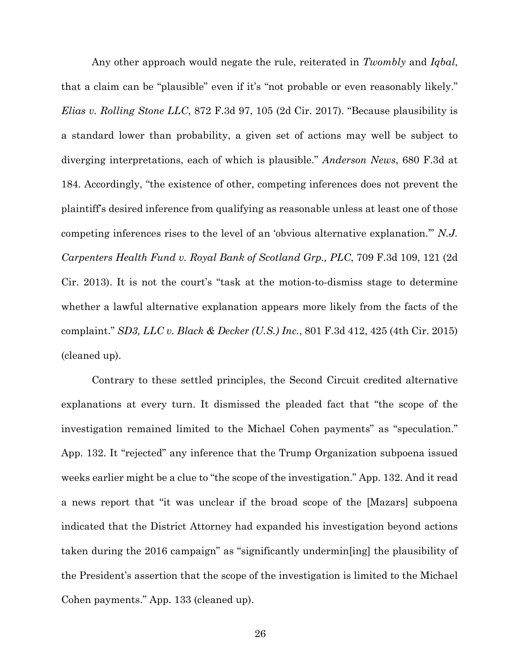Any other approach would negate the rule, reiterated in *Twombly* and *Iqbal*, that a claim can be "plausible" even if it's "not probable or even reasonably likely." *Elias v. Rolling Stone LLC*, 872 F.3d 97, 105 (2d Cir. 2017). "Because plausibility is a standard lower than probability, a given set of actions may well be subject to diverging interpretations, each of which is plausible." *Anderson News*, 680 F.3d at 184. Accordingly, "the existence of other, competing inferences does not prevent the plaintiff's desired inference from qualifying as reasonable unless at least one of those competing inferences rises to the level of an 'obvious alternative explanation.'" *N.J. Carpenters Health Fund v. Royal Bank of Scotland Grp., PLC*, 709 F.3d 109, 121 (2d Cir. 2013). It is not the court's "task at the motion-to-dismiss stage to determine whether a lawful alternative explanation appears more likely from the facts of the complaint." *SD3, LLC v. Black & Decker (U.S.) Inc.*, 801 F.3d 412, 425 (4th Cir. 2015) (cleaned up).

Contrary to these settled principles, the Second Circuit credited alternative explanations at every turn. It dismissed the pleaded fact that "the scope of the investigation remained limited to the Michael Cohen payments" as "speculation." App. 132. It "rejected" any inference that the Trump Organization subpoena issued weeks earlier might be a clue to "the scope of the investigation." App. 132. And it read a news report that "it was unclear if the broad scope of the [Mazars] subpoena indicated that the District Attorney had expanded his investigation beyond actions taken during the 2016 campaign" as "significantly undermin[ing] the plausibility of the President's assertion that the scope of the investigation is limited to the Michael Cohen payments." App. 133 (cleaned up).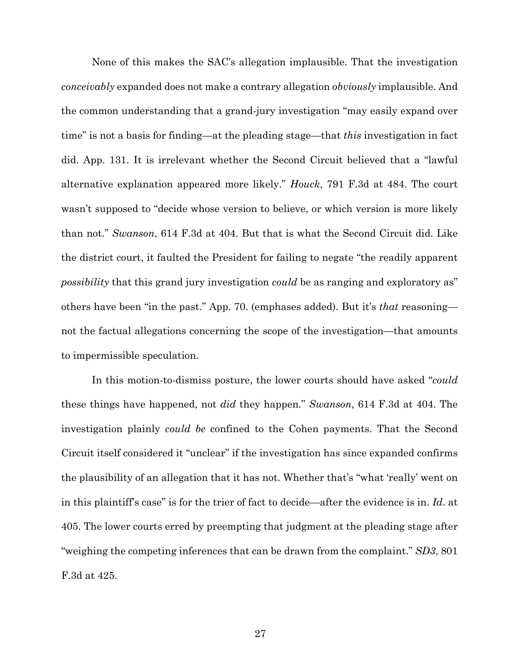None of this makes the SAC's allegation implausible. That the investigation *conceivably* expanded does not make a contrary allegation *obviously* implausible. And the common understanding that a grand-jury investigation "may easily expand over time" is not a basis for finding—at the pleading stage—that *this* investigation in fact did. App. 131. It is irrelevant whether the Second Circuit believed that a "lawful alternative explanation appeared more likely." *Houck*, 791 F.3d at 484. The court wasn't supposed to "decide whose version to believe, or which version is more likely than not." *Swanson*, 614 F.3d at 404. But that is what the Second Circuit did. Like the district court, it faulted the President for failing to negate "the readily apparent *possibility* that this grand jury investigation *could* be as ranging and exploratory as" others have been "in the past." App. 70. (emphases added). But it's *that* reasoning not the factual allegations concerning the scope of the investigation—that amounts to impermissible speculation.

In this motion-to-dismiss posture, the lower courts should have asked "*could* these things have happened, not *did* they happen." *Swanson*, 614 F.3d at 404. The investigation plainly *could be* confined to the Cohen payments. That the Second Circuit itself considered it "unclear" if the investigation has since expanded confirms the plausibility of an allegation that it has not. Whether that's "what 'really' went on in this plaintiff's case" is for the trier of fact to decide—after the evidence is in. *Id*. at 405. The lower courts erred by preempting that judgment at the pleading stage after "weighing the competing inferences that can be drawn from the complaint." *SD3*, 801 F.3d at 425.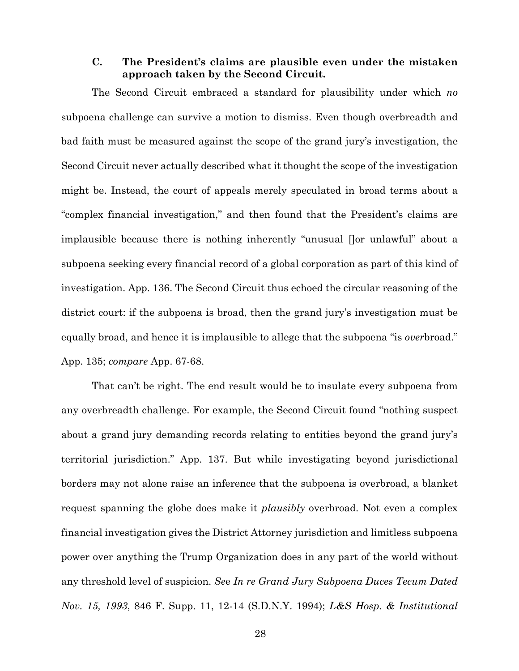## **C. The President's claims are plausible even under the mistaken approach taken by the Second Circuit.**

The Second Circuit embraced a standard for plausibility under which *no*  subpoena challenge can survive a motion to dismiss. Even though overbreadth and bad faith must be measured against the scope of the grand jury's investigation, the Second Circuit never actually described what it thought the scope of the investigation might be. Instead, the court of appeals merely speculated in broad terms about a "complex financial investigation," and then found that the President's claims are implausible because there is nothing inherently "unusual []or unlawful" about a subpoena seeking every financial record of a global corporation as part of this kind of investigation. App. 136. The Second Circuit thus echoed the circular reasoning of the district court: if the subpoena is broad, then the grand jury's investigation must be equally broad, and hence it is implausible to allege that the subpoena "is *over*broad." App. 135; *compare* App. 67-68.

That can't be right. The end result would be to insulate every subpoena from any overbreadth challenge. For example, the Second Circuit found "nothing suspect about a grand jury demanding records relating to entities beyond the grand jury's territorial jurisdiction." App. 137. But while investigating beyond jurisdictional borders may not alone raise an inference that the subpoena is overbroad, a blanket request spanning the globe does make it *plausibly* overbroad. Not even a complex financial investigation gives the District Attorney jurisdiction and limitless subpoena power over anything the Trump Organization does in any part of the world without any threshold level of suspicion. *Se*e *In re Grand Jury Subpoena Duces Tecum Dated Nov. 15, 1993*, 846 F. Supp. 11, 12-14 (S.D.N.Y. 1994); *L&S Hosp. & Institutional*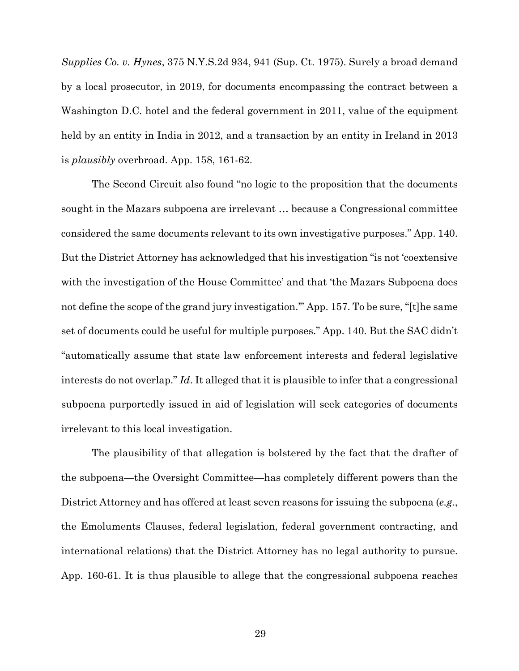*Supplies Co. v. Hynes*, 375 N.Y.S.2d 934, 941 (Sup. Ct. 1975). Surely a broad demand by a local prosecutor, in 2019, for documents encompassing the contract between a Washington D.C. hotel and the federal government in 2011, value of the equipment held by an entity in India in 2012, and a transaction by an entity in Ireland in 2013 is *plausibly* overbroad. App. 158, 161-62.

The Second Circuit also found "no logic to the proposition that the documents sought in the Mazars subpoena are irrelevant … because a Congressional committee considered the same documents relevant to its own investigative purposes." App. 140. But the District Attorney has acknowledged that his investigation "is not 'coextensive with the investigation of the House Committee' and that 'the Mazars Subpoena does not define the scope of the grand jury investigation.'" App. 157. To be sure, "[t]he same set of documents could be useful for multiple purposes." App. 140. But the SAC didn't "automatically assume that state law enforcement interests and federal legislative interests do not overlap." *Id*. It alleged that it is plausible to infer that a congressional subpoena purportedly issued in aid of legislation will seek categories of documents irrelevant to this local investigation.

The plausibility of that allegation is bolstered by the fact that the drafter of the subpoena—the Oversight Committee—has completely different powers than the District Attorney and has offered at least seven reasons for issuing the subpoena (*e.g.*, the Emoluments Clauses, federal legislation, federal government contracting, and international relations) that the District Attorney has no legal authority to pursue. App. 160-61. It is thus plausible to allege that the congressional subpoena reaches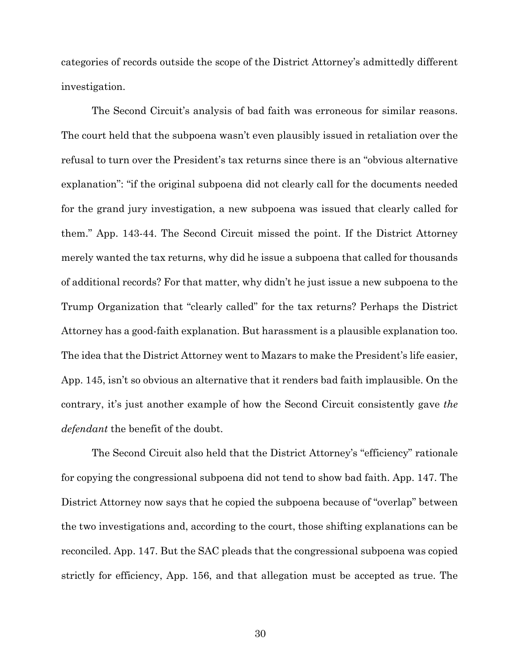categories of records outside the scope of the District Attorney's admittedly different investigation.

The Second Circuit's analysis of bad faith was erroneous for similar reasons. The court held that the subpoena wasn't even plausibly issued in retaliation over the refusal to turn over the President's tax returns since there is an "obvious alternative explanation": "if the original subpoena did not clearly call for the documents needed for the grand jury investigation, a new subpoena was issued that clearly called for them." App. 143-44. The Second Circuit missed the point. If the District Attorney merely wanted the tax returns, why did he issue a subpoena that called for thousands of additional records? For that matter, why didn't he just issue a new subpoena to the Trump Organization that "clearly called" for the tax returns? Perhaps the District Attorney has a good-faith explanation. But harassment is a plausible explanation too. The idea that the District Attorney went to Mazars to make the President's life easier, App. 145, isn't so obvious an alternative that it renders bad faith implausible. On the contrary, it's just another example of how the Second Circuit consistently gave *the defendant* the benefit of the doubt.

The Second Circuit also held that the District Attorney's "efficiency" rationale for copying the congressional subpoena did not tend to show bad faith. App. 147. The District Attorney now says that he copied the subpoena because of "overlap" between the two investigations and, according to the court, those shifting explanations can be reconciled. App. 147. But the SAC pleads that the congressional subpoena was copied strictly for efficiency, App. 156, and that allegation must be accepted as true. The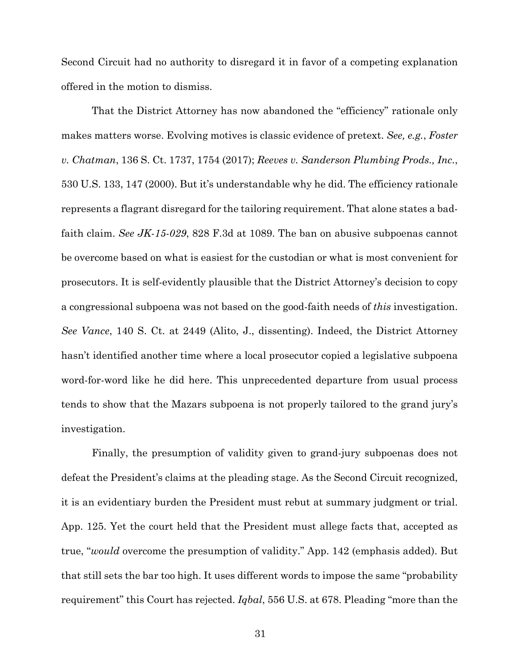Second Circuit had no authority to disregard it in favor of a competing explanation offered in the motion to dismiss.

That the District Attorney has now abandoned the "efficiency" rationale only makes matters worse. Evolving motives is classic evidence of pretext. *See, e.g.*, *Foster v. Chatman*, 136 S. Ct. 1737, 1754 (2017); *Reeves v. Sanderson Plumbing Prods., Inc.*, 530 U.S. 133, 147 (2000). But it's understandable why he did. The efficiency rationale represents a flagrant disregard for the tailoring requirement. That alone states a badfaith claim. *See JK-15-029*, 828 F.3d at 1089. The ban on abusive subpoenas cannot be overcome based on what is easiest for the custodian or what is most convenient for prosecutors. It is self-evidently plausible that the District Attorney's decision to copy a congressional subpoena was not based on the good-faith needs of *this* investigation. *See Vance*, 140 S. Ct. at 2449 (Alito, J., dissenting). Indeed, the District Attorney hasn't identified another time where a local prosecutor copied a legislative subpoena word-for-word like he did here. This unprecedented departure from usual process tends to show that the Mazars subpoena is not properly tailored to the grand jury's investigation.

Finally, the presumption of validity given to grand-jury subpoenas does not defeat the President's claims at the pleading stage. As the Second Circuit recognized, it is an evidentiary burden the President must rebut at summary judgment or trial. App. 125. Yet the court held that the President must allege facts that, accepted as true, "*would* overcome the presumption of validity." App. 142 (emphasis added). But that still sets the bar too high. It uses different words to impose the same "probability requirement" this Court has rejected. *Iqbal*, 556 U.S. at 678. Pleading "more than the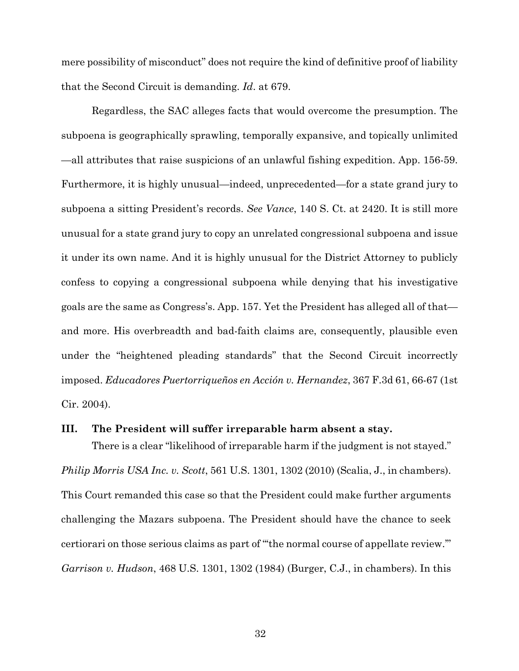mere possibility of misconduct" does not require the kind of definitive proof of liability that the Second Circuit is demanding. *Id*. at 679.

Regardless, the SAC alleges facts that would overcome the presumption. The subpoena is geographically sprawling, temporally expansive, and topically unlimited —all attributes that raise suspicions of an unlawful fishing expedition. App. 156-59. Furthermore, it is highly unusual—indeed, unprecedented—for a state grand jury to subpoena a sitting President's records. *See Vance*, 140 S. Ct. at 2420. It is still more unusual for a state grand jury to copy an unrelated congressional subpoena and issue it under its own name. And it is highly unusual for the District Attorney to publicly confess to copying a congressional subpoena while denying that his investigative goals are the same as Congress's. App. 157. Yet the President has alleged all of that and more. His overbreadth and bad-faith claims are, consequently, plausible even under the "heightened pleading standards" that the Second Circuit incorrectly imposed. *Educadores Puertorriqueños en Acción v. Hernandez*, 367 F.3d 61, 66-67 (1st Cir. 2004).

#### **III. The President will suffer irreparable harm absent a stay.**

There is a clear "likelihood of irreparable harm if the judgment is not stayed." *Philip Morris USA Inc. v. Scott*, 561 U.S. 1301, 1302 (2010) (Scalia, J., in chambers). This Court remanded this case so that the President could make further arguments challenging the Mazars subpoena. The President should have the chance to seek certiorari on those serious claims as part of "'the normal course of appellate review.'" *Garrison v. Hudson*, 468 U.S. 1301, 1302 (1984) (Burger, C.J., in chambers). In this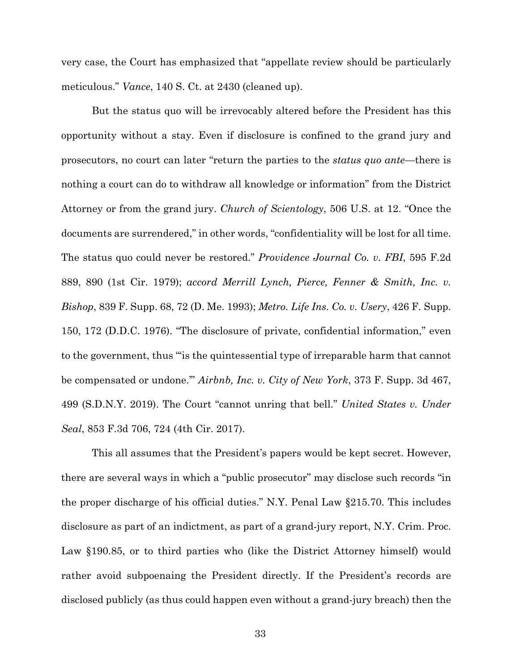very case, the Court has emphasized that "appellate review should be particularly meticulous." *Vance*, 140 S. Ct. at 2430 (cleaned up).

But the status quo will be irrevocably altered before the President has this opportunity without a stay. Even if disclosure is confined to the grand jury and prosecutors, no court can later "return the parties to the *status quo ante*—there is nothing a court can do to withdraw all knowledge or information" from the District Attorney or from the grand jury. *Church of Scientology*, 506 U.S. at 12. "Once the documents are surrendered," in other words, "confidentiality will be lost for all time. The status quo could never be restored." *Providence Journal Co. v. FBI*, 595 F.2d 889, 890 (1st Cir. 1979); *accord Merrill Lynch, Pierce, Fenner & Smith, Inc. v. Bishop*, 839 F. Supp. 68, 72 (D. Me. 1993); *Metro. Life Ins. Co. v. Usery*, 426 F. Supp. 150, 172 (D.D.C. 1976). "The disclosure of private, confidential information," even to the government, thus "'is the quintessential type of irreparable harm that cannot be compensated or undone.'" *Airbnb, Inc. v. City of New York*, 373 F. Supp. 3d 467, 499 (S.D.N.Y. 2019). The Court "cannot unring that bell." *United States v. Under Seal*, 853 F.3d 706, 724 (4th Cir. 2017).

This all assumes that the President's papers would be kept secret. However, there are several ways in which a "public prosecutor" may disclose such records "in the proper discharge of his official duties." N.Y. Penal Law §215.70. This includes disclosure as part of an indictment, as part of a grand-jury report, N.Y. Crim. Proc. Law §190.85, or to third parties who (like the District Attorney himself) would rather avoid subpoenaing the President directly. If the President's records are disclosed publicly (as thus could happen even without a grand-jury breach) then the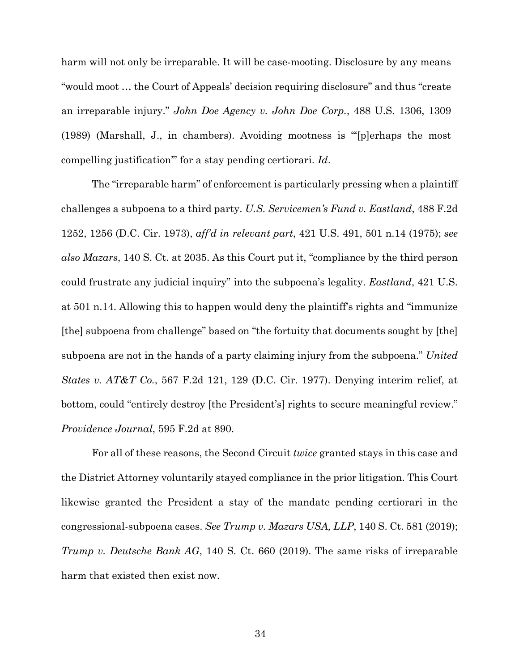harm will not only be irreparable. It will be case-mooting. Disclosure by any means "would moot … the Court of Appeals' decision requiring disclosure" and thus "create an irreparable injury." *John Doe Agency v. John Doe Corp.*, 488 U.S. 1306, 1309 (1989) (Marshall, J., in chambers). Avoiding mootness is "'[p]erhaps the most compelling justification'" for a stay pending certiorari. *Id*.

The "irreparable harm" of enforcement is particularly pressing when a plaintiff challenges a subpoena to a third party. *U.S. Servicemen's Fund v. Eastland*, 488 F.2d 1252, 1256 (D.C. Cir. 1973), *aff'd in relevant part*, 421 U.S. 491, 501 n.14 (1975); *see also Mazars*, 140 S. Ct. at 2035. As this Court put it, "compliance by the third person could frustrate any judicial inquiry" into the subpoena's legality. *Eastland*, 421 U.S. at 501 n.14. Allowing this to happen would deny the plaintiff's rights and "immunize [the] subpoena from challenge" based on "the fortuity that documents sought by [the] subpoena are not in the hands of a party claiming injury from the subpoena." *United States v. AT&T Co.*, 567 F.2d 121, 129 (D.C. Cir. 1977). Denying interim relief, at bottom, could "entirely destroy [the President's] rights to secure meaningful review." *Providence Journal*, 595 F.2d at 890.

For all of these reasons, the Second Circuit *twice* granted stays in this case and the District Attorney voluntarily stayed compliance in the prior litigation. This Court likewise granted the President a stay of the mandate pending certiorari in the congressional-subpoena cases. *See Trump v. Mazars USA, LLP*, 140 S. Ct. 581 (2019); *Trump v. Deutsche Bank AG*, 140 S. Ct. 660 (2019). The same risks of irreparable harm that existed then exist now.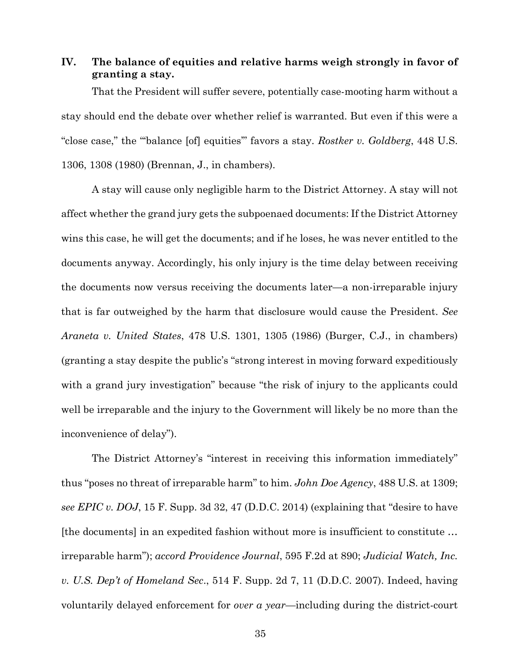# **IV. The balance of equities and relative harms weigh strongly in favor of granting a stay.**

That the President will suffer severe, potentially case-mooting harm without a stay should end the debate over whether relief is warranted. But even if this were a "close case," the "'balance [of] equities'" favors a stay. *Rostker v. Goldberg*, 448 U.S. 1306, 1308 (1980) (Brennan, J., in chambers).

A stay will cause only negligible harm to the District Attorney. A stay will not affect whether the grand jury gets the subpoenaed documents: If the District Attorney wins this case, he will get the documents; and if he loses, he was never entitled to the documents anyway. Accordingly, his only injury is the time delay between receiving the documents now versus receiving the documents later—a non-irreparable injury that is far outweighed by the harm that disclosure would cause the President. *See Araneta v. United States*, 478 U.S. 1301, 1305 (1986) (Burger, C.J., in chambers) (granting a stay despite the public's "strong interest in moving forward expeditiously with a grand jury investigation" because "the risk of injury to the applicants could well be irreparable and the injury to the Government will likely be no more than the inconvenience of delay").

The District Attorney's "interest in receiving this information immediately" thus "poses no threat of irreparable harm" to him. *John Doe Agency*, 488 U.S. at 1309; *see EPIC v. DOJ*, 15 F. Supp. 3d 32, 47 (D.D.C. 2014) (explaining that "desire to have [the documents] in an expedited fashion without more is insufficient to constitute … irreparable harm"); *accord Providence Journal*, 595 F.2d at 890; *Judicial Watch, Inc. v. U.S. Dep't of Homeland Sec*., 514 F. Supp. 2d 7, 11 (D.D.C. 2007). Indeed, having voluntarily delayed enforcement for *over a year*—including during the district-court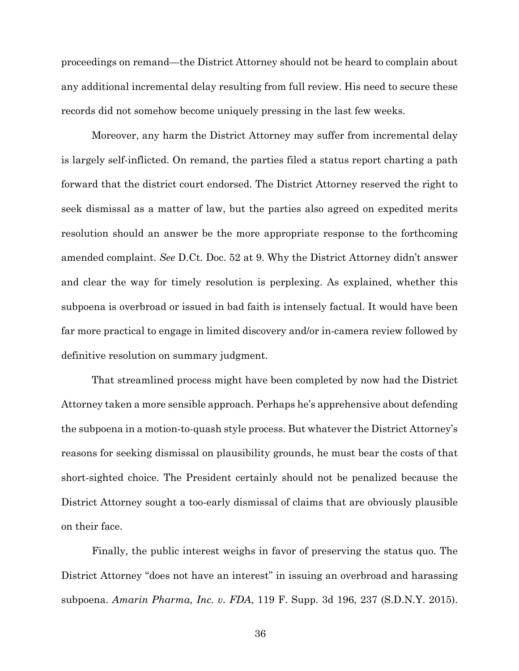proceedings on remand—the District Attorney should not be heard to complain about any additional incremental delay resulting from full review. His need to secure these records did not somehow become uniquely pressing in the last few weeks.

Moreover, any harm the District Attorney may suffer from incremental delay is largely self-inflicted. On remand, the parties filed a status report charting a path forward that the district court endorsed. The District Attorney reserved the right to seek dismissal as a matter of law, but the parties also agreed on expedited merits resolution should an answer be the more appropriate response to the forthcoming amended complaint. *See* D.Ct. Doc. 52 at 9. Why the District Attorney didn't answer and clear the way for timely resolution is perplexing. As explained, whether this subpoena is overbroad or issued in bad faith is intensely factual. It would have been far more practical to engage in limited discovery and/or in-camera review followed by definitive resolution on summary judgment.

That streamlined process might have been completed by now had the District Attorney taken a more sensible approach. Perhaps he's apprehensive about defending the subpoena in a motion-to-quash style process. But whatever the District Attorney's reasons for seeking dismissal on plausibility grounds, he must bear the costs of that short-sighted choice. The President certainly should not be penalized because the District Attorney sought a too-early dismissal of claims that are obviously plausible on their face.

Finally, the public interest weighs in favor of preserving the status quo. The District Attorney "does not have an interest" in issuing an overbroad and harassing subpoena. *Amarin Pharma, Inc. v. FDA*, 119 F. Supp. 3d 196, 237 (S.D.N.Y. 2015).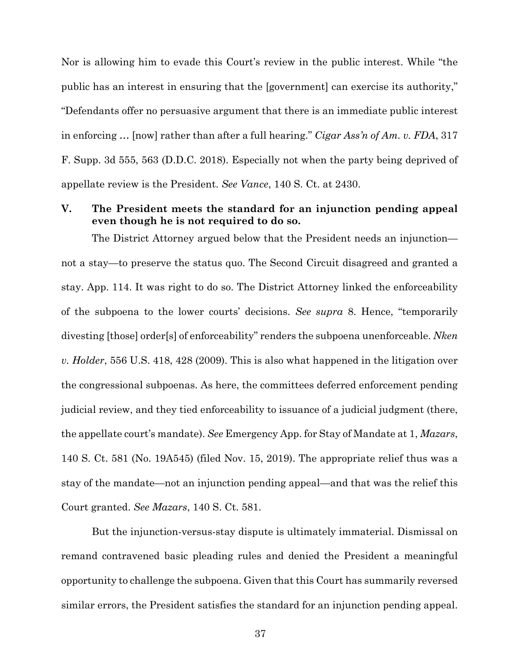Nor is allowing him to evade this Court's review in the public interest. While "the public has an interest in ensuring that the [government] can exercise its authority," "Defendants offer no persuasive argument that there is an immediate public interest in enforcing … [now] rather than after a full hearing." *Cigar Ass'n of Am. v. FDA*, 317 F. Supp. 3d 555, 563 (D.D.C. 2018). Especially not when the party being deprived of appellate review is the President. *See Vance*, 140 S. Ct. at 2430.

## **V. The President meets the standard for an injunction pending appeal even though he is not required to do so.**

The District Attorney argued below that the President needs an injunction not a stay—to preserve the status quo. The Second Circuit disagreed and granted a stay. App. 114. It was right to do so. The District Attorney linked the enforceability of the subpoena to the lower courts' decisions. *See supra* 8. Hence, "temporarily divesting [those] order[s] of enforceability" renders the subpoena unenforceable. *Nken v. Holder*, 556 U.S. 418, 428 (2009). This is also what happened in the litigation over the congressional subpoenas. As here, the committees deferred enforcement pending judicial review, and they tied enforceability to issuance of a judicial judgment (there, the appellate court's mandate). *See* Emergency App. for Stay of Mandate at 1, *Mazars*, 140 S. Ct. 581 (No. 19A545) (filed Nov. 15, 2019). The appropriate relief thus was a stay of the mandate—not an injunction pending appeal—and that was the relief this Court granted. *See Mazars*, 140 S. Ct. 581.

But the injunction-versus-stay dispute is ultimately immaterial. Dismissal on remand contravened basic pleading rules and denied the President a meaningful opportunity to challenge the subpoena. Given that this Court has summarily reversed similar errors, the President satisfies the standard for an injunction pending appeal.